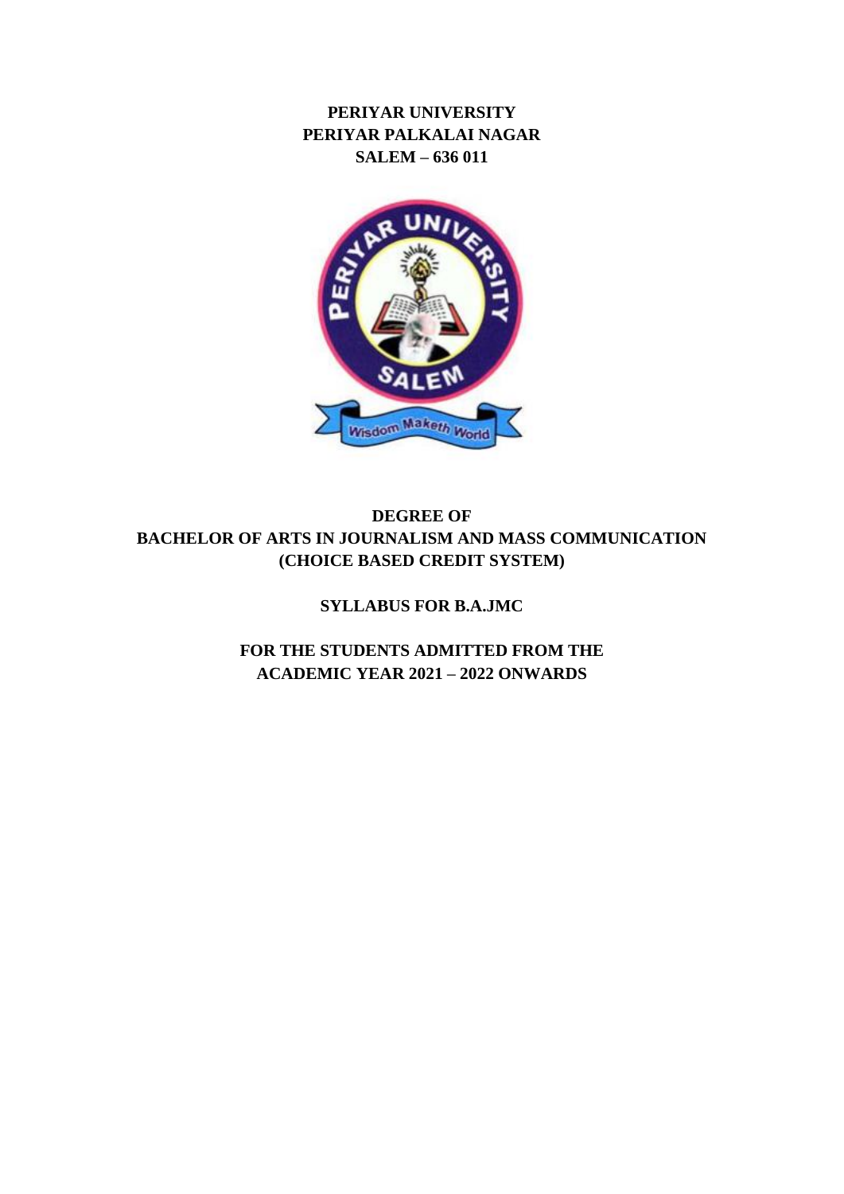**PERIYAR UNIVERSITY PERIYAR PALKALAI NAGAR SALEM – 636 011**



# **DEGREE OF BACHELOR OF ARTS IN JOURNALISM AND MASS COMMUNICATION (CHOICE BASED CREDIT SYSTEM)**

**SYLLABUS FOR B.A.JMC**

**FOR THE STUDENTS ADMITTED FROM THE ACADEMIC YEAR 2021 – 2022 ONWARDS**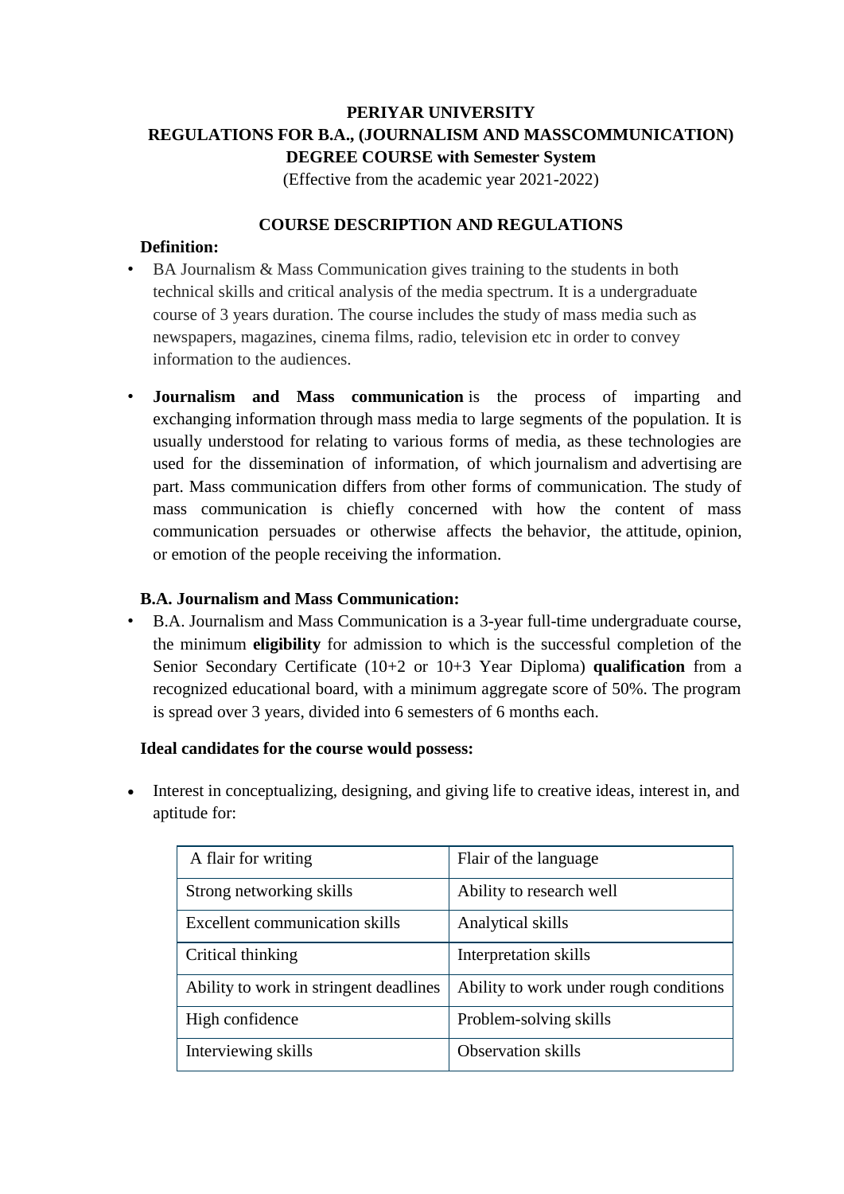# **PERIYAR UNIVERSITY REGULATIONS FOR B.A., (JOURNALISM AND MASSCOMMUNICATION) DEGREE COURSE with Semester System**

(Effective from the academic year 2021-2022)

## **COURSE DESCRIPTION AND REGULATIONS**

## **Definition:**

- BA Journalism & Mass Communication gives training to the students in both technical skills and critical analysis of the media spectrum. It is a undergraduate course of 3 years duration. The course includes the study of mass media such as newspapers, magazines, cinema films, radio, television etc in order to convey information to the audiences.
- **Journalism and Mass communication** is the process of imparting and exchanging [information](https://en.wikipedia.org/wiki/Information) through [mass media](https://en.wikipedia.org/wiki/Mass_media) to large segments of the population. It is usually understood for relating to various forms of media, as these technologies are used for the dissemination of information, of which [journalism](https://en.wikipedia.org/wiki/Journalism) and [advertising](https://en.wikipedia.org/wiki/Advertising) are part. Mass communication differs from other forms of communication. The study of mass communication is chiefly concerned with how the content of mass communication persuades or otherwise affects the [behavior,](https://en.wikipedia.org/wiki/Behavior) the [attitude,](https://en.wikipedia.org/wiki/Attitude_(psychology)) [opinion,](https://en.wikipedia.org/wiki/Opinion) or [emotion](https://en.wikipedia.org/wiki/Emotion) of the people receiving the information.

## **B.A. Journalism and Mass Communication:**

• B.A. Journalism and Mass Communication is a 3-year full-time undergraduate course, the minimum **eligibility** for admission to which is the successful completion of the Senior Secondary Certificate (10+2 or 10+3 Year Diploma) **qualification** from a recognized educational board, with a minimum aggregate score of 50%. The program is spread over 3 years, divided into 6 semesters of 6 months each.

## **Ideal candidates for the course would possess:**

 Interest in conceptualizing, designing, and giving life to creative ideas, interest in, and aptitude for:

| A flair for writing                    | Flair of the language                  |
|----------------------------------------|----------------------------------------|
| Strong networking skills               | Ability to research well               |
| Excellent communication skills         | Analytical skills                      |
| Critical thinking                      | Interpretation skills                  |
| Ability to work in stringent deadlines | Ability to work under rough conditions |
| High confidence                        | Problem-solving skills                 |
| Interviewing skills                    | <b>Observation skills</b>              |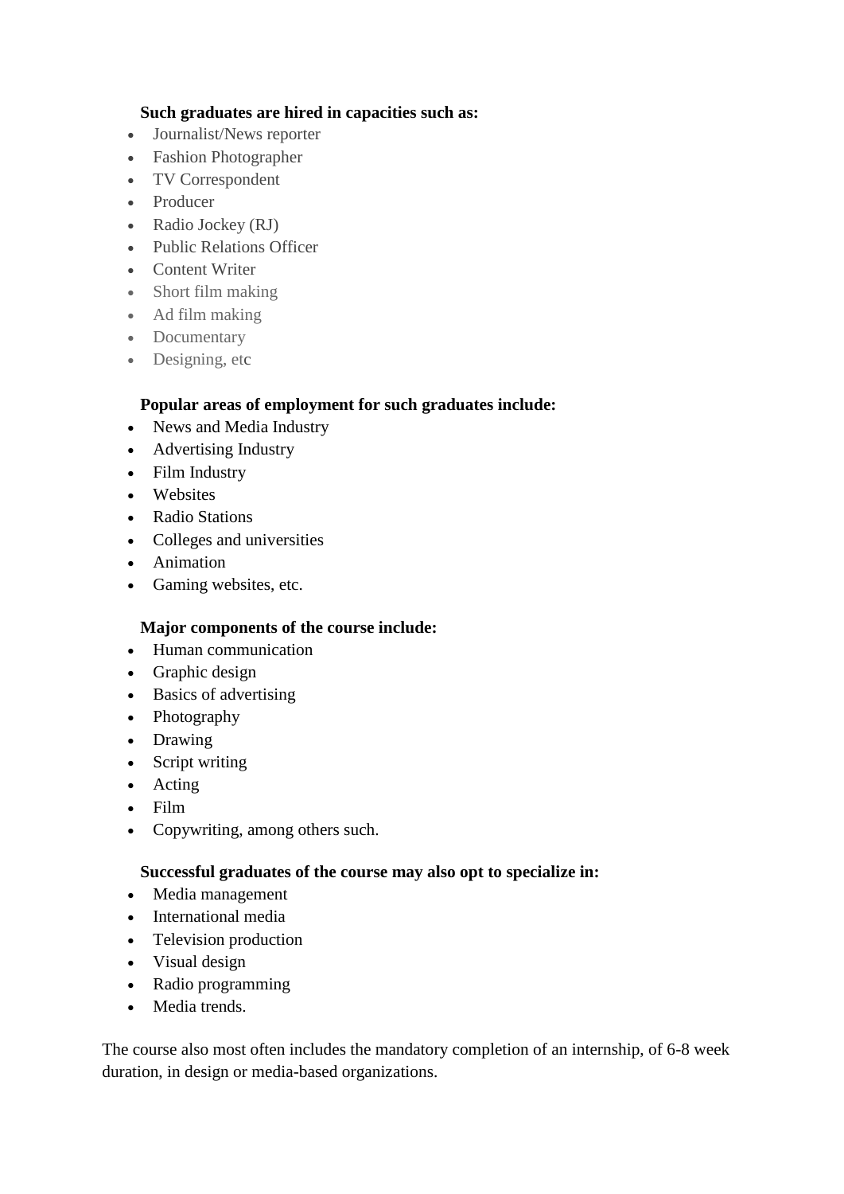## **Such graduates are hired in capacities such as:**

- Journalist/News reporter
- Fashion Photographer
- TV Correspondent
- Producer
- Radio Jockey (RJ)
- Public Relations Officer
- Content Writer
- Short film making
- Ad film making
- Documentary
- Designing, etc

## **Popular areas of employment for such graduates include:**

- News and Media Industry
- Advertising Industry
- Film Industry
- Websites
- Radio Stations
- Colleges and universities
- Animation
- Gaming websites, etc.

## **Major components of the course include:**

- Human communication
- Graphic design
- Basics of advertising
- Photography
- Drawing
- Script writing
- Acting
- Film
- Copywriting, among others such.

## **Successful graduates of the course may also opt to specialize in:**

- Media management
- International media
- Television production
- Visual design
- Radio programming
- Media trends.

The course also most often includes the mandatory completion of an internship, of 6-8 week duration, in design or media-based organizations.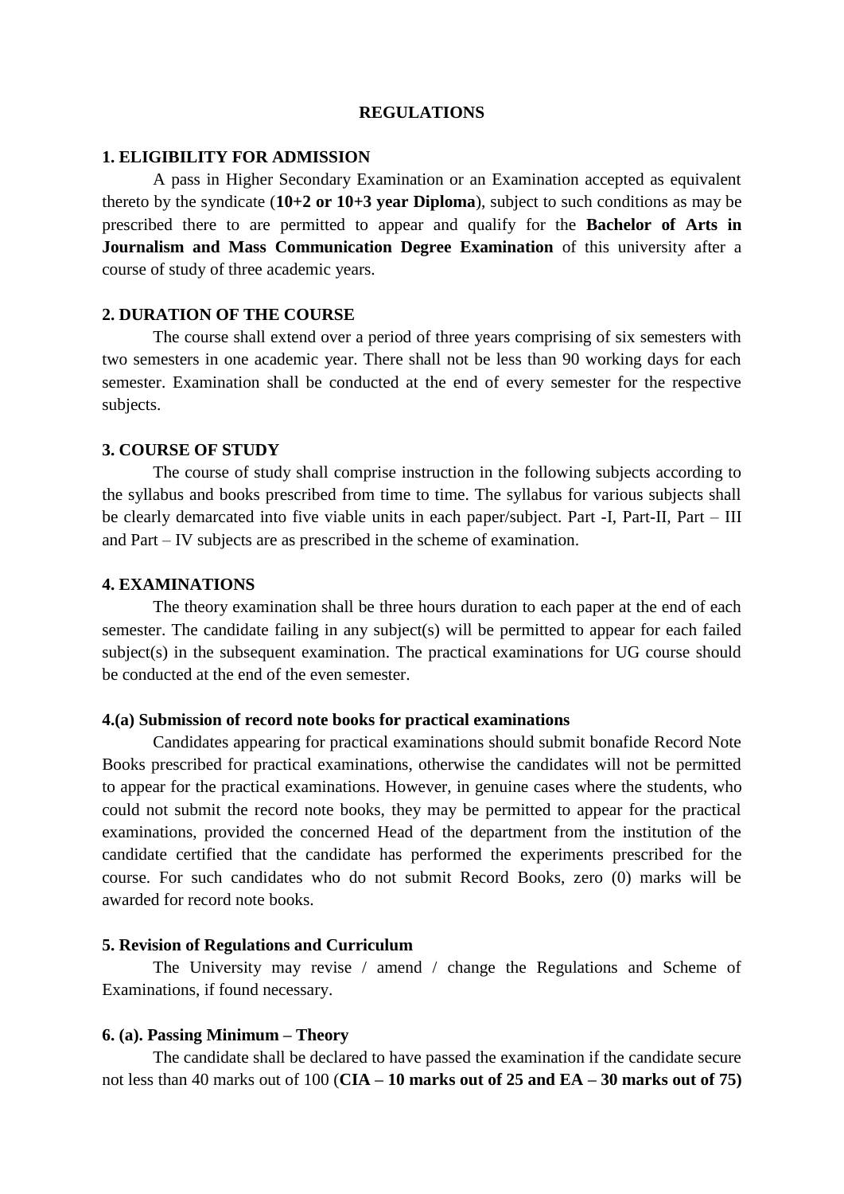#### **REGULATIONS**

#### **1. ELIGIBILITY FOR ADMISSION**

A pass in Higher Secondary Examination or an Examination accepted as equivalent thereto by the syndicate (**10+2 or 10+3 year Diploma**), subject to such conditions as may be prescribed there to are permitted to appear and qualify for the **Bachelor of Arts in Journalism and Mass Communication Degree Examination** of this university after a course of study of three academic years.

#### **2. DURATION OF THE COURSE**

The course shall extend over a period of three years comprising of six semesters with two semesters in one academic year. There shall not be less than 90 working days for each semester. Examination shall be conducted at the end of every semester for the respective subjects.

#### **3. COURSE OF STUDY**

The course of study shall comprise instruction in the following subjects according to the syllabus and books prescribed from time to time. The syllabus for various subjects shall be clearly demarcated into five viable units in each paper/subject. Part -I, Part-II, Part – III and Part – IV subjects are as prescribed in the scheme of examination.

#### **4. EXAMINATIONS**

The theory examination shall be three hours duration to each paper at the end of each semester. The candidate failing in any subject(s) will be permitted to appear for each failed subject(s) in the subsequent examination. The practical examinations for UG course should be conducted at the end of the even semester.

#### **4.(a) Submission of record note books for practical examinations**

Candidates appearing for practical examinations should submit bonafide Record Note Books prescribed for practical examinations, otherwise the candidates will not be permitted to appear for the practical examinations. However, in genuine cases where the students, who could not submit the record note books, they may be permitted to appear for the practical examinations, provided the concerned Head of the department from the institution of the candidate certified that the candidate has performed the experiments prescribed for the course. For such candidates who do not submit Record Books, zero (0) marks will be awarded for record note books.

#### **5. Revision of Regulations and Curriculum**

The University may revise / amend / change the Regulations and Scheme of Examinations, if found necessary.

#### **6. (a). Passing Minimum – Theory**

The candidate shall be declared to have passed the examination if the candidate secure not less than 40 marks out of 100 (**CIA – 10 marks out of 25 and EA – 30 marks out of 75)**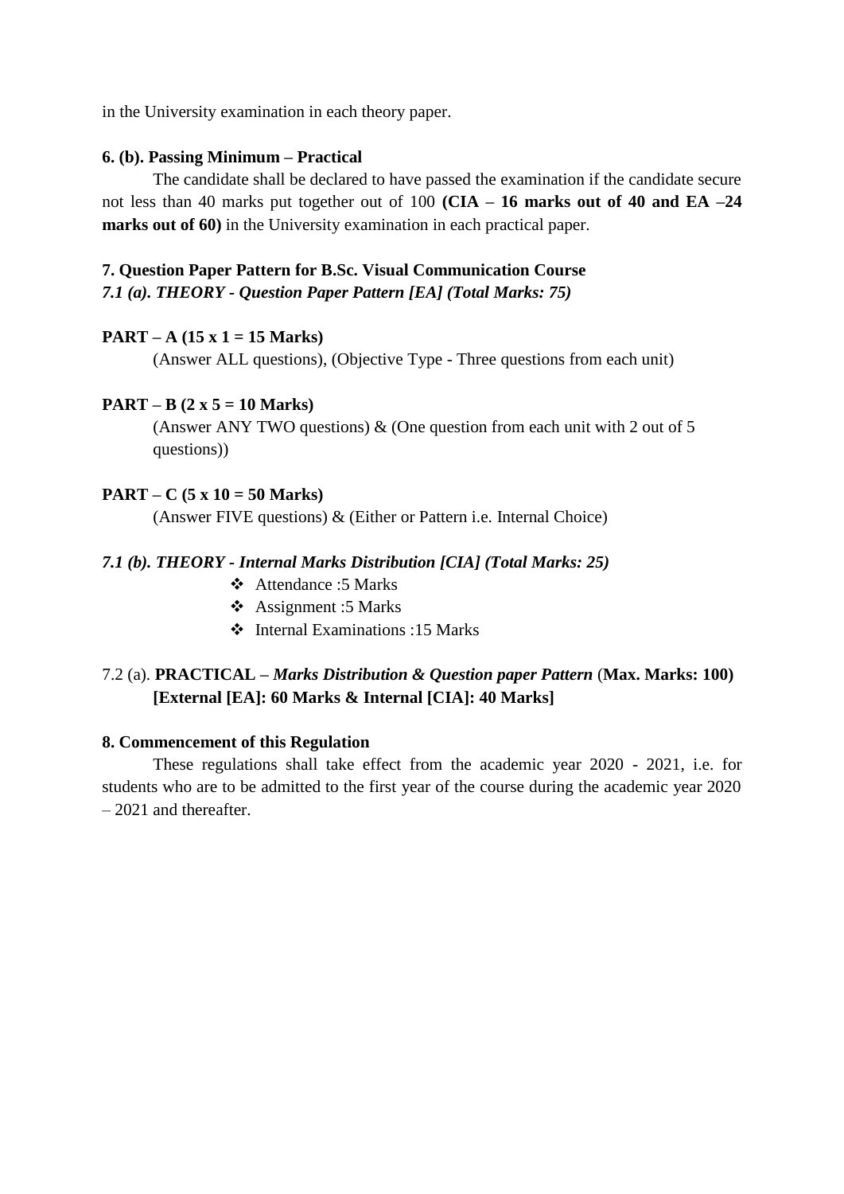in the University examination in each theory paper.

#### **6. (b). Passing Minimum – Practical**

The candidate shall be declared to have passed the examination if the candidate secure not less than 40 marks put together out of 100 **(CIA – 16 marks out of 40 and EA –24 marks out of 60)** in the University examination in each practical paper.

# **7. Question Paper Pattern for B.Sc. Visual Communication Course**

*7.1 (a). THEORY - Question Paper Pattern [EA] (Total Marks: 75)*

#### **PART – A (15 x 1 = 15 Marks)**

(Answer ALL questions), (Objective Type - Three questions from each unit)

#### **PART – B (2 x 5 = 10 Marks)**

(Answer ANY TWO questions)  $\&$  (One question from each unit with 2 out of 5 questions))

#### **PART – C (5 x 10 = 50 Marks)**

(Answer FIVE questions) & (Either or Pattern i.e. Internal Choice)

#### *7.1 (b). THEORY - Internal Marks Distribution [CIA] (Total Marks: 25)*

- Attendance :5 Marks
- Assignment :5 Marks
- $\div$  Internal Examinations :15 Marks

## 7.2 (a). **PRACTICAL –** *Marks Distribution & Question paper Pattern* (**Max. Marks: 100) [External [EA]: 60 Marks & Internal [CIA]: 40 Marks]**

#### **8. Commencement of this Regulation**

These regulations shall take effect from the academic year 2020 - 2021, i.e. for students who are to be admitted to the first year of the course during the academic year 2020 – 2021 and thereafter.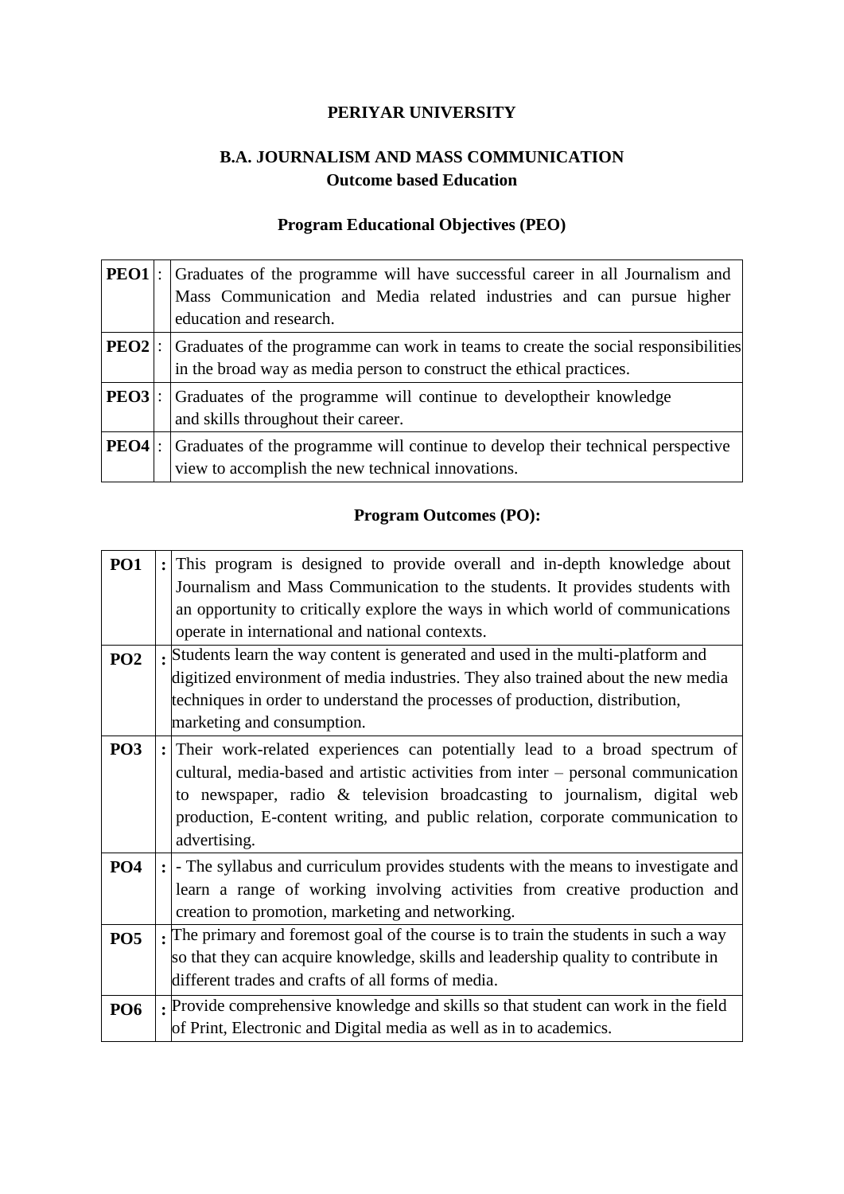## **PERIYAR UNIVERSITY**

# **B.A. JOURNALISM AND MASS COMMUNICATION Outcome based Education**

## **Program Educational Objectives (PEO)**

|  | <b>PEO1</b> : Graduates of the programme will have successful career in all Journalism and<br>Mass Communication and Media related industries and can pursue higher<br>education and research. |
|--|------------------------------------------------------------------------------------------------------------------------------------------------------------------------------------------------|
|  | <b>PEO2</b> : Graduates of the programme can work in teams to create the social responsibilities<br>in the broad way as media person to construct the ethical practices.                       |
|  | <b>PEO3</b> : Graduates of the programme will continue to developtheir knowledge<br>and skills throughout their career.                                                                        |
|  | <b>PEO4</b> : Graduates of the programme will continue to develop their technical perspective<br>view to accomplish the new technical innovations.                                             |

# **Program Outcomes (PO):**

| <b>PO1</b>      | : This program is designed to provide overall and in-depth knowledge about           |
|-----------------|--------------------------------------------------------------------------------------|
|                 | Journalism and Mass Communication to the students. It provides students with         |
|                 | an opportunity to critically explore the ways in which world of communications       |
|                 | operate in international and national contexts.                                      |
| PO <sub>2</sub> | . Students learn the way content is generated and used in the multi-platform and     |
|                 | digitized environment of media industries. They also trained about the new media     |
|                 | techniques in order to understand the processes of production, distribution,         |
|                 | marketing and consumption.                                                           |
| PO <sub>3</sub> | Their work-related experiences can potentially lead to a broad spectrum of           |
|                 | cultural, media-based and artistic activities from inter – personal communication    |
|                 | to newspaper, radio & television broadcasting to journalism, digital web             |
|                 | production, E-content writing, and public relation, corporate communication to       |
|                 | advertising.                                                                         |
| <b>PO4</b>      | : - The syllabus and curriculum provides students with the means to investigate and  |
|                 | learn a range of working involving activities from creative production and           |
|                 | creation to promotion, marketing and networking.                                     |
| PO <sub>5</sub> | . The primary and foremost goal of the course is to train the students in such a way |
|                 | so that they can acquire knowledge, skills and leadership quality to contribute in   |
|                 | different trades and crafts of all forms of media.                                   |
| <b>PO6</b>      | Provide comprehensive knowledge and skills so that student can work in the field     |
|                 | of Print, Electronic and Digital media as well as in to academics.                   |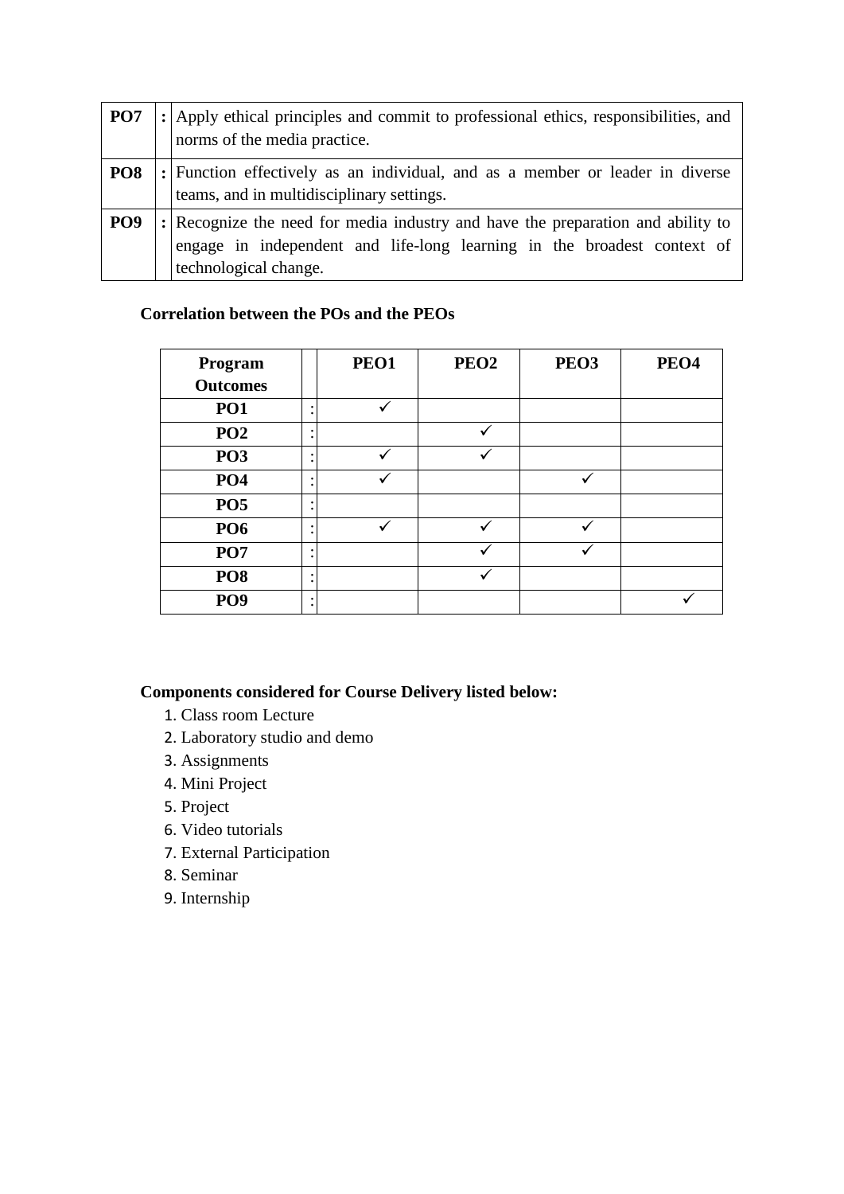| PO <sub>7</sub> | : Apply ethical principles and commit to professional ethics, responsibilities, and<br>norms of the media practice.                                                              |
|-----------------|----------------------------------------------------------------------------------------------------------------------------------------------------------------------------------|
| PO <sub>8</sub> | : Function effectively as an individual, and as a member or leader in diverse<br>teams, and in multidisciplinary settings.                                                       |
| PO <sub>9</sub> | : Recognize the need for media industry and have the preparation and ability to engage in independent and life-long learning in the broadest context of<br>technological change. |

## **Correlation between the POs and the PEOs**

| Program         | PEO1 | PEO <sub>2</sub> | PEO <sub>3</sub> | PEO <sub>4</sub> |
|-----------------|------|------------------|------------------|------------------|
| <b>Outcomes</b> |      |                  |                  |                  |
| PO <sub>1</sub> |      |                  |                  |                  |
| PO <sub>2</sub> |      |                  |                  |                  |
| PO <sub>3</sub> |      |                  |                  |                  |
| PO <sub>4</sub> |      |                  |                  |                  |
| PO <sub>5</sub> |      |                  |                  |                  |
| <b>PO6</b>      |      |                  |                  |                  |
| PO <sub>7</sub> |      |                  |                  |                  |
| PO <sub>8</sub> |      |                  |                  |                  |
| PO <sub>9</sub> |      |                  |                  |                  |

# **Components considered for Course Delivery listed below:**

- 1. Class room Lecture
- 2. Laboratory studio and demo
- 3. Assignments
- 4. Mini Project
- 5. Project
- 6. Video tutorials
- 7. External Participation
- 8. Seminar
- 9. Internship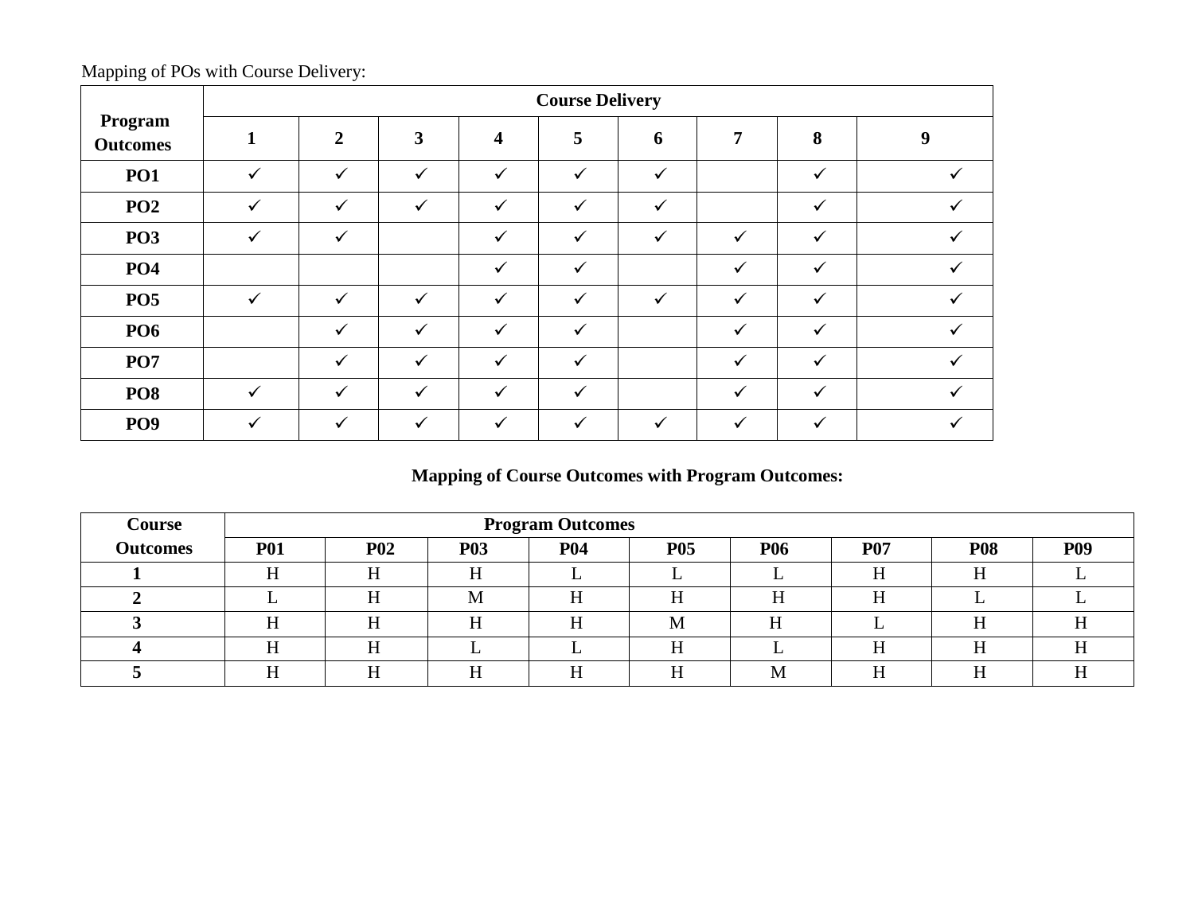|                            |              |                |              |              | <b>Course Delivery</b> |              |              |              |   |
|----------------------------|--------------|----------------|--------------|--------------|------------------------|--------------|--------------|--------------|---|
| Program<br><b>Outcomes</b> |              | $\overline{2}$ | 3            | 4            | 5                      | 6            | 7            | 8            | q |
| <b>PO1</b>                 | $\checkmark$ | ✓              | ✓            | $\checkmark$ | $\checkmark$           | $\checkmark$ |              | ✓            |   |
| PO <sub>2</sub>            | $\checkmark$ | $\checkmark$   | $\checkmark$ | $\checkmark$ | $\checkmark$           | $\checkmark$ |              | ✓            |   |
| PO <sub>3</sub>            | $\checkmark$ | $\checkmark$   |              | $\checkmark$ | $\checkmark$           | $\checkmark$ | $\checkmark$ | $\checkmark$ |   |
| <b>PO4</b>                 |              |                |              | $\checkmark$ | $\checkmark$           |              | $\checkmark$ | $\checkmark$ |   |
| PO <sub>5</sub>            | $\checkmark$ | ✓              |              | ✓            | ✓                      |              | $\checkmark$ | ✓            |   |
| <b>PO6</b>                 |              | $\checkmark$   | $\checkmark$ | $\checkmark$ | $\checkmark$           |              | $\checkmark$ | ✓            |   |
| <b>PO7</b>                 |              | $\checkmark$   | $\checkmark$ | $\checkmark$ | $\checkmark$           |              | $\checkmark$ | $\checkmark$ |   |
| PO <sub>8</sub>            | $\checkmark$ | $\checkmark$   | $\checkmark$ | $\checkmark$ | $\checkmark$           |              | ✓            | ✓            |   |
| PO <sub>9</sub>            |              |                |              |              |                        |              |              |              |   |

Mapping of POs with Course Delivery:

# **Mapping of Course Outcomes with Program Outcomes:**

| Course          |            | <b>Program Outcomes</b> |            |            |            |            |            |            |            |  |
|-----------------|------------|-------------------------|------------|------------|------------|------------|------------|------------|------------|--|
| <b>Outcomes</b> | <b>P01</b> | <b>P02</b>              | <b>P03</b> | <b>P04</b> | <b>P05</b> | <b>P06</b> | <b>P07</b> | <b>P08</b> | <b>P09</b> |  |
|                 |            |                         |            |            |            |            | н          |            |            |  |
|                 |            |                         | M          |            |            |            |            |            |            |  |
|                 |            |                         | п          |            | M          |            |            |            |            |  |
|                 |            |                         |            |            | т.         |            |            |            |            |  |
|                 |            |                         |            |            |            | M          |            |            |            |  |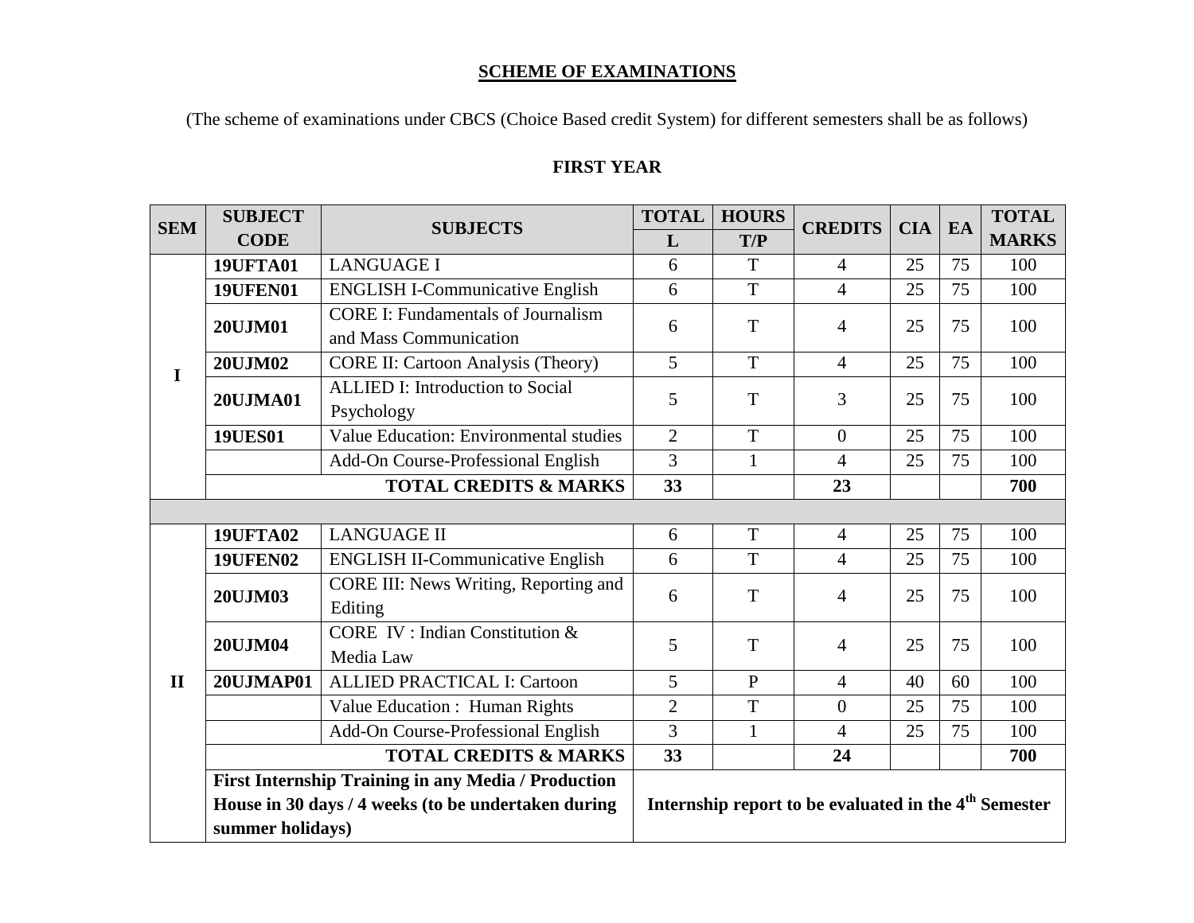#### **SCHEME OF EXAMINATIONS**

(The scheme of examinations under CBCS (Choice Based credit System) for different semesters shall be as follows)

# **FIRST YEAR**

| <b>SEM</b>   | <b>SUBJECT</b>   | <b>SUBJECTS</b>                                     | <b>TOTAL</b>   | <b>HOURS</b>   | <b>CREDITS</b>                                                    | <b>CIA</b> | EA              | <b>TOTAL</b> |
|--------------|------------------|-----------------------------------------------------|----------------|----------------|-------------------------------------------------------------------|------------|-----------------|--------------|
|              | <b>CODE</b>      |                                                     | L              | T/P            |                                                                   |            |                 | <b>MARKS</b> |
|              | <b>19UFTA01</b>  | <b>LANGUAGE I</b>                                   | 6              | T              | $\overline{4}$                                                    | 25         | 75              | 100          |
|              | <b>19UFEN01</b>  | <b>ENGLISH I-Communicative English</b>              | 6              | $\overline{T}$ | $\overline{4}$                                                    | 25         | $\overline{75}$ | 100          |
|              | 20UJM01          | <b>CORE I: Fundamentals of Journalism</b>           | 6              | T              | 4                                                                 | 25         | 75              | 100          |
|              |                  | and Mass Communication                              |                |                |                                                                   |            |                 |              |
| $\mathbf I$  | <b>20UJM02</b>   | <b>CORE II: Cartoon Analysis (Theory)</b>           | 5              | T              | $\overline{4}$                                                    | 25         | 75              | 100          |
|              | 20UJMA01         | <b>ALLIED I: Introduction to Social</b>             | 5              | T              | 3                                                                 | 25         | 75              | 100          |
|              |                  | Psychology                                          |                |                |                                                                   |            |                 |              |
|              | <b>19UES01</b>   | Value Education: Environmental studies              | $\overline{2}$ | T              | $\theta$                                                          | 25         | 75              | 100          |
|              |                  | Add-On Course-Professional English                  | $\overline{3}$ | $\mathbf{1}$   | $\overline{4}$                                                    | 25         | 75              | 100          |
|              |                  | <b>TOTAL CREDITS &amp; MARKS</b>                    | 33             |                | 23                                                                |            |                 | 700          |
|              |                  |                                                     |                |                |                                                                   |            |                 |              |
|              | <b>19UFTA02</b>  | <b>LANGUAGE II</b>                                  | 6              | T              | $\overline{4}$                                                    | 25         | 75              | 100          |
|              | <b>19UFEN02</b>  | <b>ENGLISH II-Communicative English</b>             | 6              | T              | $\overline{4}$                                                    | 25         | 75              | 100          |
|              | 20UJM03          | CORE III: News Writing, Reporting and               | 6              | T              | $\overline{4}$                                                    | 25         | 75              | 100          |
|              |                  | Editing                                             |                |                |                                                                   |            |                 |              |
|              | 20UJM04          | <b>CORE IV: Indian Constitution &amp;</b>           | 5              | $\mathbf T$    | $\overline{4}$                                                    | 25         | 75              | 100          |
|              |                  | Media Law                                           |                |                |                                                                   |            |                 |              |
| $\mathbf{I}$ | <b>20UJMAP01</b> | <b>ALLIED PRACTICAL I: Cartoon</b>                  | 5              | $\mathbf{P}$   | $\overline{4}$                                                    | 40         | 60              | 100          |
|              |                  | Value Education : Human Rights                      | $\overline{2}$ | T              | $\overline{0}$                                                    | 25         | 75              | 100          |
|              |                  | Add-On Course-Professional English                  | $\overline{3}$ | $\mathbf{1}$   | $\overline{4}$                                                    | 25         | 75              | 100          |
|              |                  | <b>TOTAL CREDITS &amp; MARKS</b>                    | 33             |                | 24                                                                |            |                 | 700          |
|              |                  | First Internship Training in any Media / Production |                |                |                                                                   |            |                 |              |
|              |                  | House in 30 days / 4 weeks (to be undertaken during |                |                | Internship report to be evaluated in the 4 <sup>th</sup> Semester |            |                 |              |
|              | summer holidays) |                                                     |                |                |                                                                   |            |                 |              |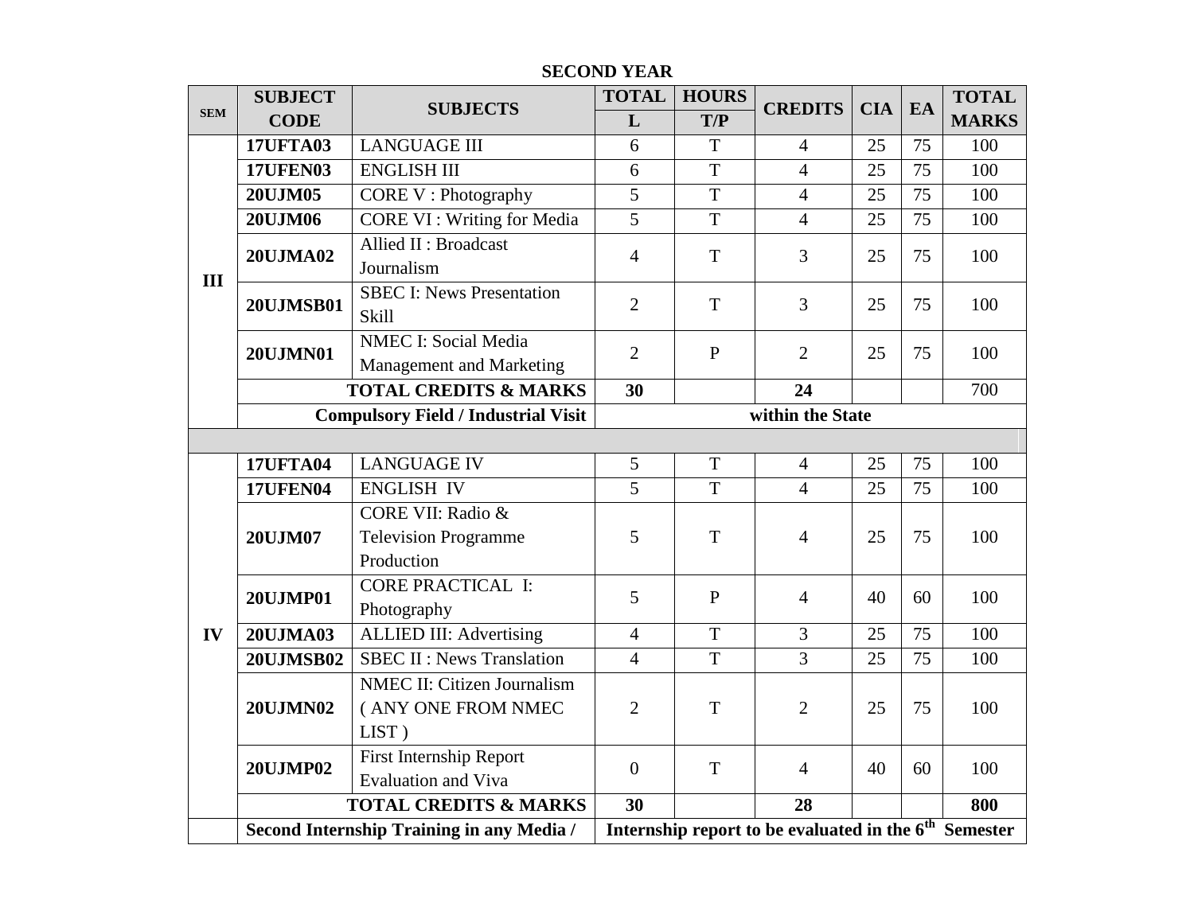|                         | <b>SUBJECT</b>   | <b>SUBJECTS</b>                                                    | <b>TOTAL</b>   | <b>HOURS</b>   | <b>CREDITS</b>                                                    | <b>CIA</b> | EA | <b>TOTAL</b> |
|-------------------------|------------------|--------------------------------------------------------------------|----------------|----------------|-------------------------------------------------------------------|------------|----|--------------|
|                         | <b>CODE</b>      |                                                                    | L              | T/P            |                                                                   |            |    | <b>MARKS</b> |
|                         | <b>17UFTA03</b>  | <b>LANGUAGE III</b>                                                | 6              | T              | $\overline{4}$                                                    | 25         | 75 | 100          |
| <b>SEM</b><br>III<br>IV | <b>17UFEN03</b>  | <b>ENGLISH III</b>                                                 | 6              | $\overline{T}$ | $\overline{4}$                                                    | 25         | 75 | 100          |
|                         | 20UJM05          | <b>CORE V</b> : Photography                                        | 5              | T              | $\overline{4}$                                                    | 25         | 75 | 100          |
|                         | 20UJM06          | <b>CORE VI</b> : Writing for Media                                 | $\overline{5}$ | $\mathbf T$    | $\overline{4}$                                                    | 25         | 75 | 100          |
|                         | 20UJMA02         | Allied II: Broadcast<br>Journalism                                 | $\overline{4}$ | T              | 3                                                                 | 25         | 75 | 100          |
|                         | <b>20UJMSB01</b> | <b>SBEC I: News Presentation</b><br>Skill                          | $\overline{2}$ | T              | $\overline{3}$                                                    | 25         | 75 | 100          |
|                         | 20UJMN01         | <b>NMEC I: Social Media</b><br>Management and Marketing            | $\overline{2}$ | $\mathbf{P}$   | $\overline{2}$                                                    | 25         | 75 | 100          |
|                         |                  | <b>TOTAL CREDITS &amp; MARKS</b>                                   | 30             |                | 24                                                                |            |    | 700          |
|                         |                  | <b>Compulsory Field / Industrial Visit</b>                         |                |                | within the State                                                  |            |    |              |
|                         |                  |                                                                    |                |                |                                                                   |            |    |              |
|                         | <b>17UFTA04</b>  | <b>LANGUAGE IV</b>                                                 | 5              | T              | $\overline{4}$                                                    | 25         | 75 | 100          |
|                         | <b>17UFEN04</b>  | <b>ENGLISH IV</b>                                                  | $\overline{5}$ | $\overline{T}$ | $\overline{4}$                                                    | 25         | 75 | 100          |
|                         | 20UJM07          | CORE VII: Radio &<br><b>Television Programme</b><br>Production     | 5              | T              | $\overline{4}$                                                    | 25         | 75 | 100          |
|                         | <b>20UJMP01</b>  | <b>CORE PRACTICAL I:</b><br>Photography                            | 5              | $\mathbf{P}$   | $\overline{4}$                                                    | 40         | 60 | 100          |
|                         | <b>20UJMA03</b>  | <b>ALLIED III: Advertising</b>                                     | $\overline{4}$ | T              | 3                                                                 | 25         | 75 | 100          |
|                         | <b>20UJMSB02</b> | <b>SBEC II : News Translation</b>                                  | $\overline{4}$ | T              | $\overline{3}$                                                    | 25         | 75 | 100          |
|                         | <b>20UJMN02</b>  | <b>NMEC II: Citizen Journalism</b><br>( ANY ONE FROM NMEC<br>LIST) | $\overline{2}$ | T              | $\overline{2}$                                                    | 25         | 75 | 100          |
|                         | <b>20UJMP02</b>  | <b>First Internship Report</b><br><b>Evaluation and Viva</b>       | $\overline{0}$ | T              | $\overline{4}$                                                    | 40         | 60 | 100          |
|                         |                  | <b>TOTAL CREDITS &amp; MARKS</b>                                   | 30             |                | 28                                                                |            |    | 800          |
|                         |                  | Second Internship Training in any Media /                          |                |                | Internship report to be evaluated in the 6 <sup>th</sup> Semester |            |    |              |

## **SECOND YEAR**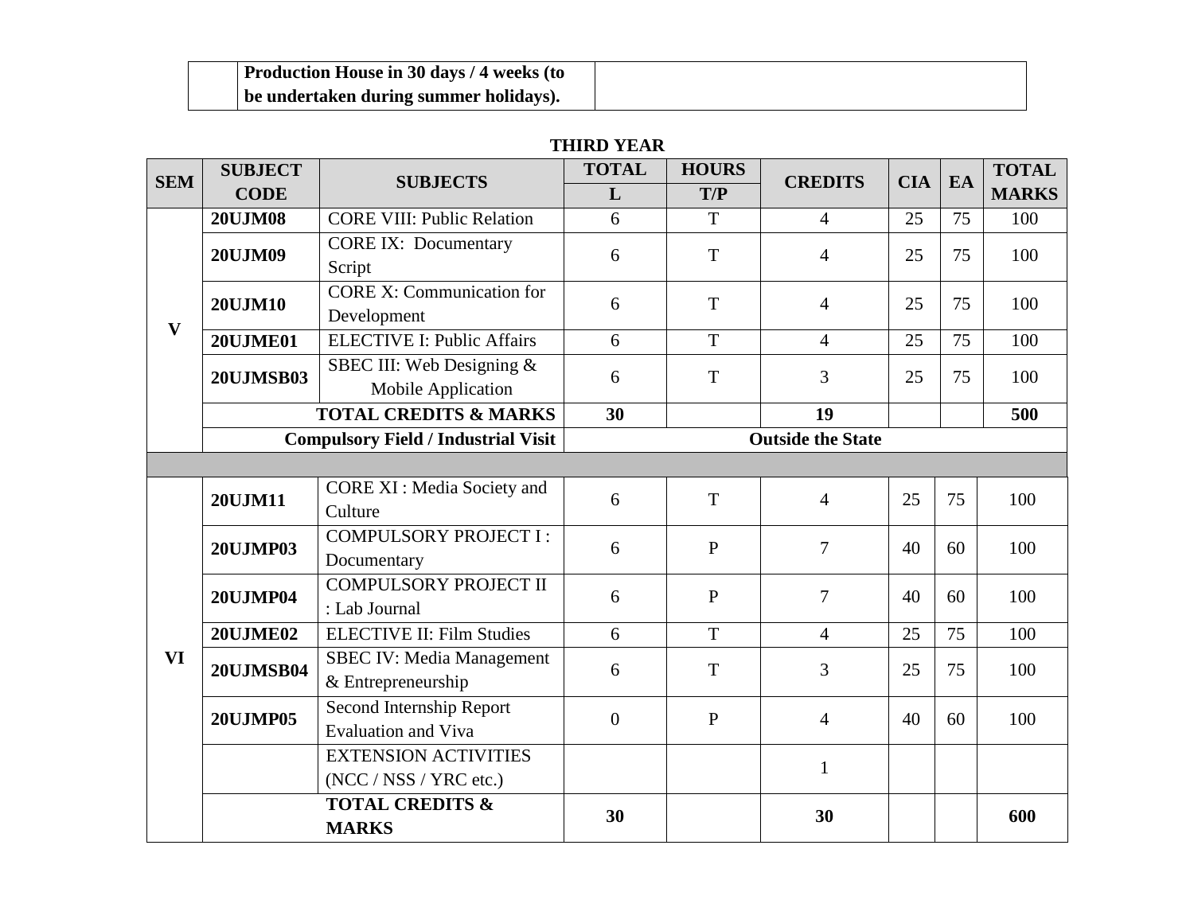| Production House in 30 days / 4 weeks (to |  |
|-------------------------------------------|--|
| be undertaken during summer holidays).    |  |

## **THIRD YEAR**

| <b>SEM</b>   | <b>SUBJECT</b>   |                                            | <b>TOTAL</b><br><b>HOURS</b><br><b>SUBJECTS</b><br>L<br>T/P<br>T<br>6<br>T<br>6<br>$\mathbf T$<br>6<br>6<br>T<br>$\mathbf T$<br>6<br>30<br>T<br>6<br>$\mathbf{P}$<br>6<br>$\mathbf{P}$<br>6<br>T<br>6<br>T<br>6<br>$\mathbf{P}$<br>$\boldsymbol{0}$<br>30 | <b>CREDITS</b> | <b>CIA</b>               | EA | <b>TOTAL</b> |              |
|--------------|------------------|--------------------------------------------|-----------------------------------------------------------------------------------------------------------------------------------------------------------------------------------------------------------------------------------------------------------|----------------|--------------------------|----|--------------|--------------|
|              | <b>CODE</b>      |                                            |                                                                                                                                                                                                                                                           |                |                          |    |              | <b>MARKS</b> |
|              | <b>20UJM08</b>   | <b>CORE VIII: Public Relation</b>          |                                                                                                                                                                                                                                                           |                | $\overline{4}$           | 25 | 75           | 100          |
|              | <b>20UJM09</b>   | <b>CORE IX: Documentary</b>                |                                                                                                                                                                                                                                                           |                | 4                        | 25 | 75           | 100          |
|              |                  | Script                                     |                                                                                                                                                                                                                                                           |                |                          |    |              |              |
|              | <b>20UJM10</b>   | <b>CORE X: Communication for</b>           |                                                                                                                                                                                                                                                           |                | 4                        | 25 | 75           | 100          |
| $\mathbf{V}$ |                  | Development                                |                                                                                                                                                                                                                                                           |                |                          |    |              |              |
|              | <b>20UJME01</b>  | <b>ELECTIVE I: Public Affairs</b>          |                                                                                                                                                                                                                                                           |                | $\overline{4}$           | 25 | 75           | 100          |
|              | <b>20UJMSB03</b> | SBEC III: Web Designing &                  |                                                                                                                                                                                                                                                           |                | 3                        | 25 | 75           | 100          |
|              |                  | Mobile Application                         |                                                                                                                                                                                                                                                           |                |                          |    |              |              |
|              |                  | <b>TOTAL CREDITS &amp; MARKS</b>           |                                                                                                                                                                                                                                                           |                | 19                       |    |              | 500          |
|              |                  | <b>Compulsory Field / Industrial Visit</b> |                                                                                                                                                                                                                                                           |                | <b>Outside the State</b> |    |              |              |
|              |                  |                                            |                                                                                                                                                                                                                                                           |                |                          |    |              |              |
|              | 20UJM11          | <b>CORE XI: Media Society and</b>          |                                                                                                                                                                                                                                                           |                | $\overline{4}$           | 25 | 75           | 100          |
|              |                  | Culture                                    |                                                                                                                                                                                                                                                           |                |                          |    |              |              |
|              | <b>20UJMP03</b>  | <b>COMPULSORY PROJECT I:</b>               |                                                                                                                                                                                                                                                           |                | 7                        | 40 | 60           | 100          |
|              |                  | Documentary                                |                                                                                                                                                                                                                                                           |                |                          |    |              |              |
|              | <b>20UJMP04</b>  | <b>COMPULSORY PROJECT II</b>               |                                                                                                                                                                                                                                                           |                | 7                        | 40 | 60           | 100          |
|              |                  | : Lab Journal                              |                                                                                                                                                                                                                                                           |                |                          |    |              |              |
|              | <b>20UJME02</b>  | <b>ELECTIVE II: Film Studies</b>           |                                                                                                                                                                                                                                                           |                | $\overline{4}$           | 25 | 75           | 100          |
| <b>VI</b>    | <b>20UJMSB04</b> | <b>SBEC IV: Media Management</b>           |                                                                                                                                                                                                                                                           |                | 3                        | 25 | 75           | 100          |
|              |                  | & Entrepreneurship                         |                                                                                                                                                                                                                                                           |                |                          |    |              |              |
|              | <b>20UJMP05</b>  | Second Internship Report                   |                                                                                                                                                                                                                                                           |                | $\overline{4}$           | 40 | 60           | 100          |
|              |                  | <b>Evaluation and Viva</b>                 |                                                                                                                                                                                                                                                           |                |                          |    |              |              |
|              |                  | <b>EXTENSION ACTIVITIES</b>                |                                                                                                                                                                                                                                                           |                | $\mathbf{1}$             |    |              |              |
|              |                  | (NCC / NSS / YRC etc.)                     |                                                                                                                                                                                                                                                           |                |                          |    |              |              |
|              |                  | <b>TOTAL CREDITS &amp;</b>                 |                                                                                                                                                                                                                                                           |                | 30                       |    |              | 600          |
|              |                  | <b>MARKS</b>                               |                                                                                                                                                                                                                                                           |                |                          |    |              |              |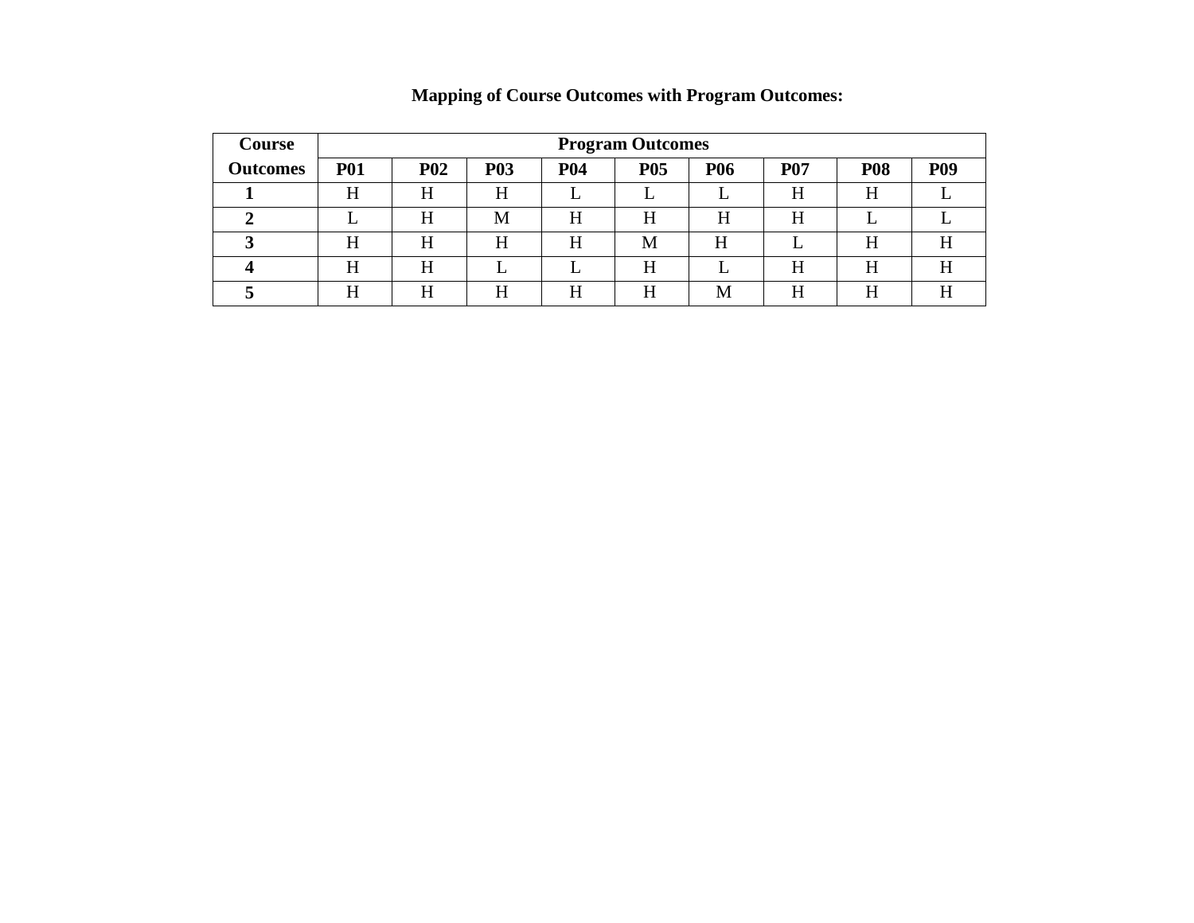| <b>Course</b>   |            | <b>Program Outcomes</b> |            |            |            |            |            |            |            |  |  |
|-----------------|------------|-------------------------|------------|------------|------------|------------|------------|------------|------------|--|--|
| <b>Outcomes</b> | <b>P01</b> | <b>P02</b>              | <b>P03</b> | <b>P04</b> | <b>P05</b> | <b>P06</b> | <b>P07</b> | <b>P08</b> | <b>P09</b> |  |  |
|                 | H          | H                       | H          |            |            |            | H          | H          |            |  |  |
|                 |            | H                       | M          | H          | H          | H          | H          |            |            |  |  |
|                 | H          | H                       | Η          | H          | M          | H          |            | H          | H          |  |  |
|                 | H          | H                       |            |            | H          |            | H          | H          | H          |  |  |
|                 | H          | H                       | Η          | H          | Η          | M          | H          | H          | ТТ         |  |  |

**Mapping of Course Outcomes with Program Outcomes:**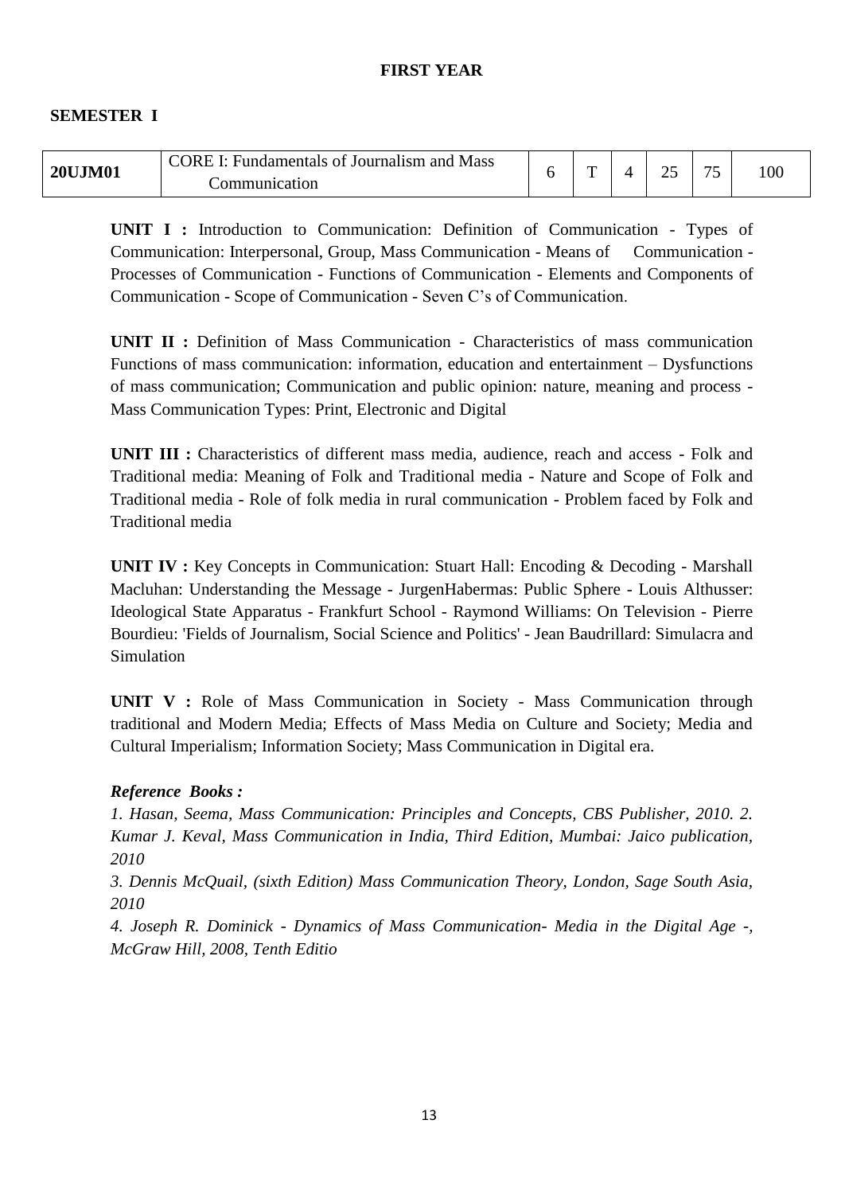#### **FIRST YEAR**

#### **SEMESTER I**

| <b>20UJM01</b> | <b>CORE</b><br><b>Mass</b><br>Fundamentals of Journalism and | ᠇ |  | $\overline{\phantom{0}}$ | 100 <sub>1</sub> |
|----------------|--------------------------------------------------------------|---|--|--------------------------|------------------|
|                | :ommunication                                                |   |  |                          |                  |

**UNIT I :** Introduction to Communication: Definition of Communication - Types of Communication: Interpersonal, Group, Mass Communication - Means of Communication - Processes of Communication - Functions of Communication - Elements and Components of Communication - Scope of Communication - Seven C"s of Communication.

**UNIT II :** Definition of Mass Communication - Characteristics of mass communication Functions of mass communication: information, education and entertainment – Dysfunctions of mass communication; Communication and public opinion: nature, meaning and process - Mass Communication Types: Print, Electronic and Digital

**UNIT III :** Characteristics of different mass media, audience, reach and access - Folk and Traditional media: Meaning of Folk and Traditional media - Nature and Scope of Folk and Traditional media - Role of folk media in rural communication - Problem faced by Folk and Traditional media

**UNIT IV :** Key Concepts in Communication: Stuart Hall: Encoding & Decoding - Marshall Macluhan: Understanding the Message - JurgenHabermas: Public Sphere - Louis Althusser: Ideological State Apparatus - Frankfurt School - Raymond Williams: On Television - Pierre Bourdieu: 'Fields of Journalism, Social Science and Politics' - Jean Baudrillard: Simulacra and Simulation

**UNIT V :** Role of Mass Communication in Society - Mass Communication through traditional and Modern Media; Effects of Mass Media on Culture and Society; Media and Cultural Imperialism; Information Society; Mass Communication in Digital era.

#### *Reference Books :*

*1. Hasan, Seema, Mass Communication: Principles and Concepts, CBS Publisher, 2010. 2. Kumar J. Keval, Mass Communication in India, Third Edition, Mumbai: Jaico publication, 2010* 

*3. Dennis McQuail, (sixth Edition) Mass Communication Theory, London, Sage South Asia, 2010* 

*4. Joseph R. Dominick - Dynamics of Mass Communication- Media in the Digital Age -, McGraw Hill, 2008, Tenth Editio*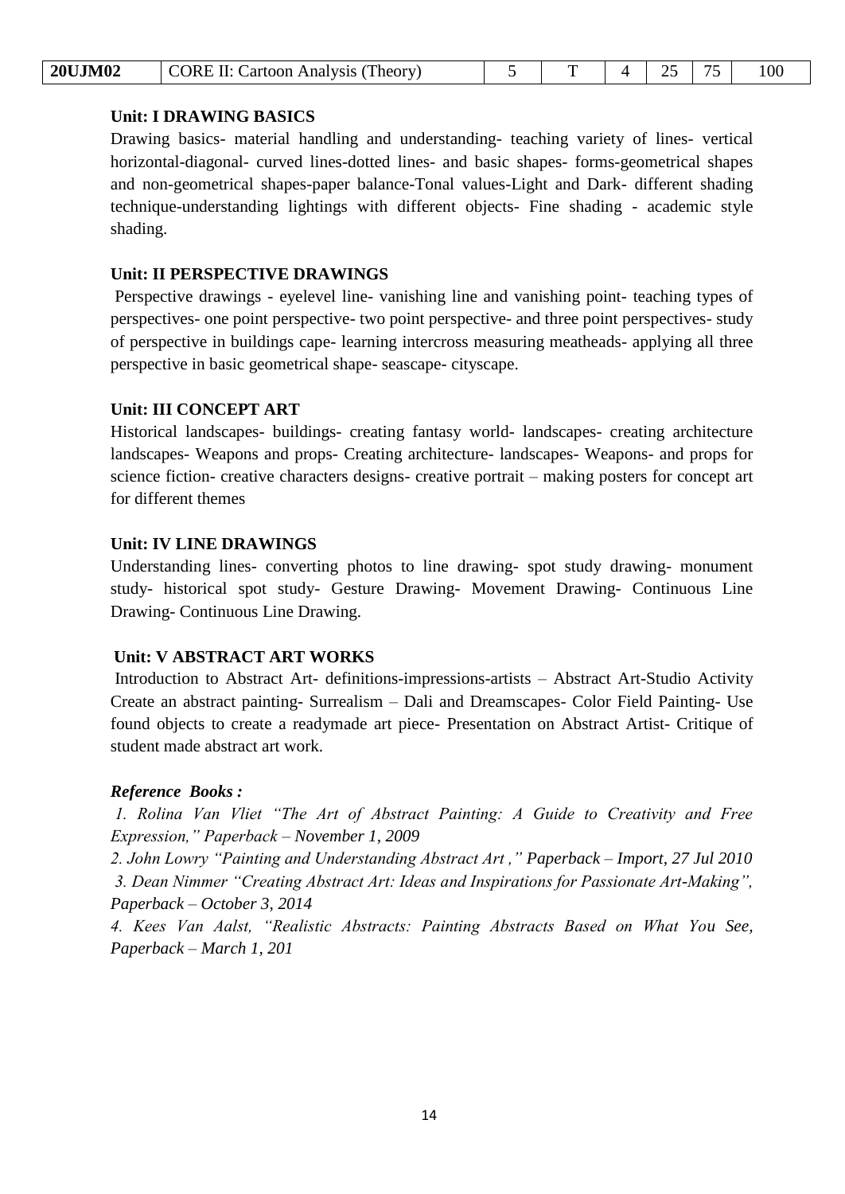| <b>20UJM02</b> | CORE II: Cartoon Analysis (Theory) |  |  |  |  |  | 100 |
|----------------|------------------------------------|--|--|--|--|--|-----|
|----------------|------------------------------------|--|--|--|--|--|-----|

#### **Unit: I DRAWING BASICS**

Drawing basics- material handling and understanding- teaching variety of lines- vertical horizontal-diagonal- curved lines-dotted lines- and basic shapes- forms-geometrical shapes and non-geometrical shapes-paper balance-Tonal values-Light and Dark- different shading technique-understanding lightings with different objects- Fine shading - academic style shading.

#### **Unit: II PERSPECTIVE DRAWINGS**

Perspective drawings - eyelevel line- vanishing line and vanishing point- teaching types of perspectives- one point perspective- two point perspective- and three point perspectives- study of perspective in buildings cape- learning intercross measuring meatheads- applying all three perspective in basic geometrical shape- seascape- cityscape.

#### **Unit: III CONCEPT ART**

Historical landscapes- buildings- creating fantasy world- landscapes- creating architecture landscapes- Weapons and props- Creating architecture- landscapes- Weapons- and props for science fiction- creative characters designs- creative portrait – making posters for concept art for different themes

#### **Unit: IV LINE DRAWINGS**

Understanding lines- converting photos to line drawing- spot study drawing- monument study- historical spot study- Gesture Drawing- Movement Drawing- Continuous Line Drawing- Continuous Line Drawing.

## **Unit: V ABSTRACT ART WORKS**

Introduction to Abstract Art- definitions-impressions-artists – Abstract Art-Studio Activity Create an abstract painting- Surrealism – Dali and Dreamscapes- Color Field Painting- Use found objects to create a readymade art piece- Presentation on Abstract Artist- Critique of student made abstract art work.

## *Reference Books :*

*1. Rolina Van Vliet "The Art of Abstract Painting: A Guide to Creativity and Free Expression," Paperback – November 1, 2009* 

*2. John Lowry "Painting and Understanding Abstract Art ," Paperback – Import, 27 Jul 2010 3. Dean Nimmer "Creating Abstract Art: Ideas and Inspirations for Passionate Art-Making", Paperback – October 3, 2014* 

*4. Kees Van Aalst, "Realistic Abstracts: Painting Abstracts Based on What You See, Paperback – March 1, 201*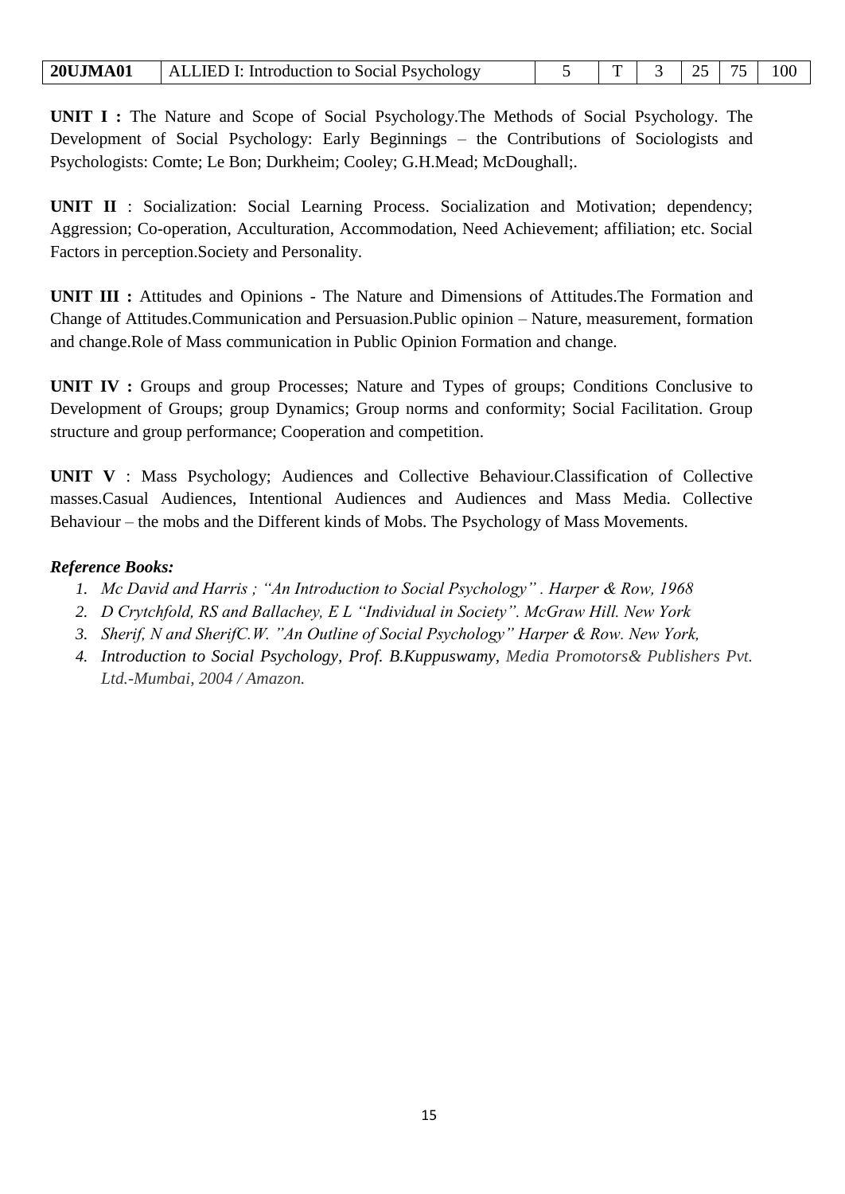| <b>20UJMA01</b> | <b>ALLIED I: Introduction to Social Psychology</b> |  | m |  |  |  |  |
|-----------------|----------------------------------------------------|--|---|--|--|--|--|
|-----------------|----------------------------------------------------|--|---|--|--|--|--|

**UNIT I :** The Nature and Scope of Social Psychology.The Methods of Social Psychology. The Development of Social Psychology: Early Beginnings – the Contributions of Sociologists and Psychologists: Comte; Le Bon; Durkheim; Cooley; G.H.Mead; McDoughall;.

**UNIT II** : Socialization: Social Learning Process. Socialization and Motivation; dependency; Aggression; Co-operation, Acculturation, Accommodation, Need Achievement; affiliation; etc. Social Factors in perception.Society and Personality.

**UNIT III :** Attitudes and Opinions - The Nature and Dimensions of Attitudes.The Formation and Change of Attitudes.Communication and Persuasion.Public opinion – Nature, measurement, formation and change.Role of Mass communication in Public Opinion Formation and change.

**UNIT IV :** Groups and group Processes; Nature and Types of groups; Conditions Conclusive to Development of Groups; group Dynamics; Group norms and conformity; Social Facilitation. Group structure and group performance; Cooperation and competition.

**UNIT V** : Mass Psychology; Audiences and Collective Behaviour.Classification of Collective masses.Casual Audiences, Intentional Audiences and Audiences and Mass Media. Collective Behaviour – the mobs and the Different kinds of Mobs. The Psychology of Mass Movements.

## *Reference Books:*

- *1. Mc David and Harris ; "An Introduction to Social Psychology" . Harper & Row, 1968*
- *2. D Crytchfold, RS and Ballachey, E L "Individual in Society". McGraw Hill. New York*
- *3. Sherif, N and SherifC.W. "An Outline of Social Psychology" Harper & Row. New York,*
- *4. Introduction to Social Psychology, Prof. B.Kuppuswamy, Media Promotors& Publishers Pvt. Ltd.-Mumbai, 2004 / Amazon.*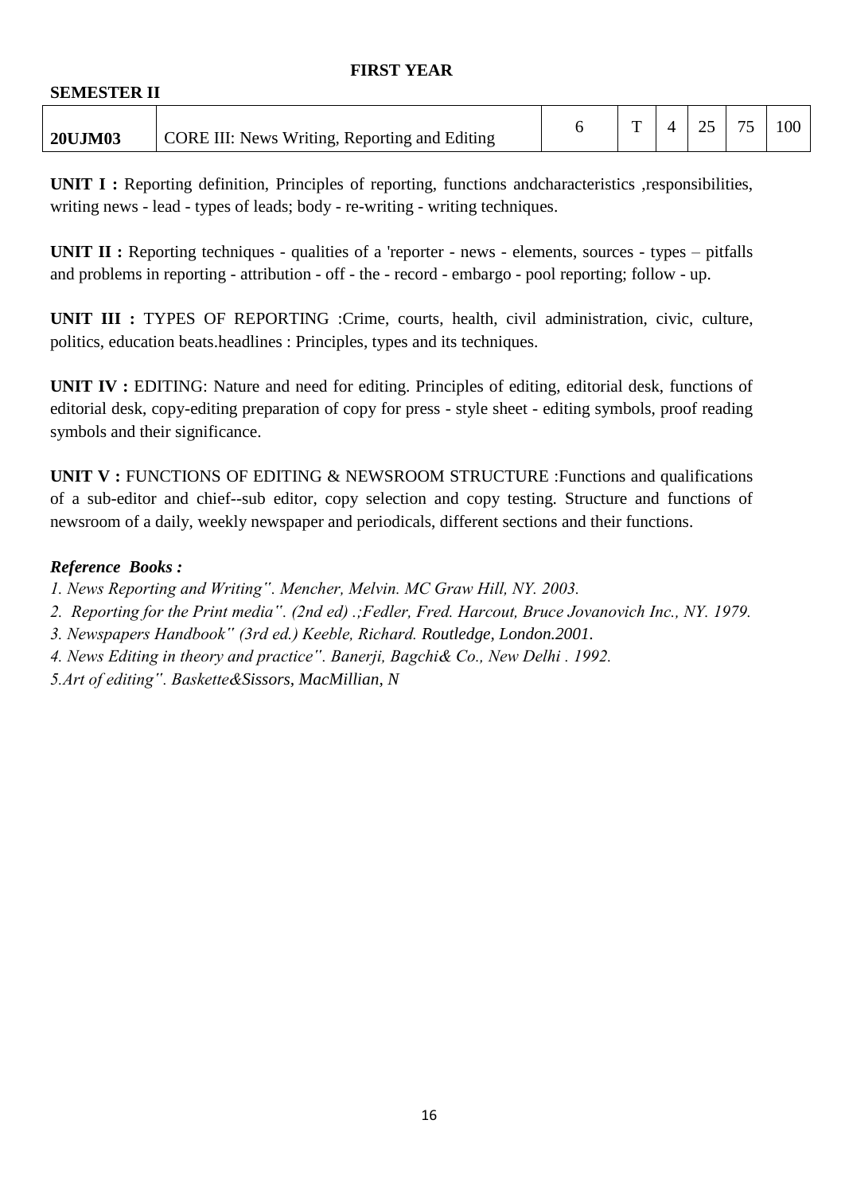#### **FIRST YEAR**

| <b>SEMESTER II</b> |                                                      |              |    |    |     |
|--------------------|------------------------------------------------------|--------------|----|----|-----|
| <b>20UJM03</b>     | <b>CORE III: News Writing, Reporting and Editing</b> | $\mathbf{r}$ | 25 | 75 | 100 |

**UNIT I :** Reporting definition, Principles of reporting, functions andcharacteristics ,responsibilities, writing news - lead - types of leads; body - re-writing - writing techniques.

**UNIT II :** Reporting techniques - qualities of a 'reporter - news - elements, sources - types – pitfalls and problems in reporting - attribution - off - the - record - embargo - pool reporting; follow - up.

**UNIT III :** TYPES OF REPORTING :Crime, courts, health, civil administration, civic, culture, politics, education beats.headlines : Principles, types and its techniques.

**UNIT IV :** EDITING: Nature and need for editing. Principles of editing, editorial desk, functions of editorial desk, copy-editing preparation of copy for press - style sheet - editing symbols, proof reading symbols and their significance.

**UNIT V :** FUNCTIONS OF EDITING & NEWSROOM STRUCTURE :Functions and qualifications of a sub-editor and chief--sub editor, copy selection and copy testing. Structure and functions of newsroom of a daily, weekly newspaper and periodicals, different sections and their functions.

## *Reference Books :*

- *1. News Reporting and Writing". Mencher, Melvin. MC Graw Hill, NY. 2003.*
- *2. Reporting for the Print media". (2nd ed) .;Fedler, Fred. Harcout, Bruce Jovanovich Inc., NY. 1979.*
- *3. Newspapers Handbook" (3rd ed.) Keeble, Richard. Routledge, London.2001.*
- *4. News Editing in theory and practice". Banerji, Bagchi& Co., New Delhi . 1992.*
- *5.Art of editing". Baskette&Sissors, MacMillian, N*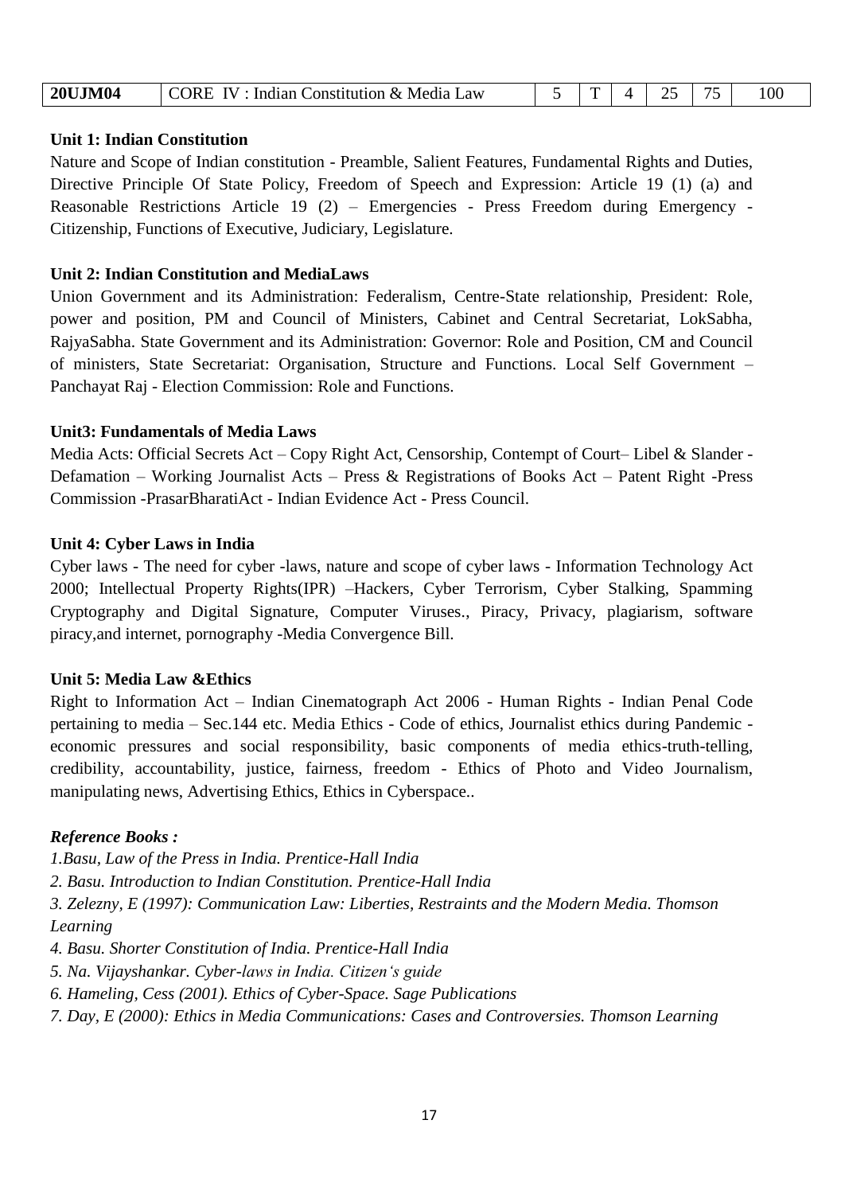| <b>20UJM04</b> | <b>IV</b><br>: Indian Constitution & Media Law<br>CORE. |  |  |  |  |  | 100 |
|----------------|---------------------------------------------------------|--|--|--|--|--|-----|
|----------------|---------------------------------------------------------|--|--|--|--|--|-----|

#### **Unit 1: Indian Constitution**

Nature and Scope of Indian constitution - Preamble, Salient Features, Fundamental Rights and Duties, Directive Principle Of State Policy, Freedom of Speech and Expression: Article 19 (1) (a) and Reasonable Restrictions Article 19 (2) – Emergencies - Press Freedom during Emergency - Citizenship, Functions of Executive, Judiciary, Legislature.

#### **Unit 2: Indian Constitution and MediaLaws**

Union Government and its Administration: Federalism, Centre-State relationship, President: Role, power and position, PM and Council of Ministers, Cabinet and Central Secretariat, LokSabha, RajyaSabha. State Government and its Administration: Governor: Role and Position, CM and Council of ministers, State Secretariat: Organisation, Structure and Functions. Local Self Government – Panchayat Raj - Election Commission: Role and Functions.

#### **Unit3: Fundamentals of Media Laws**

Media Acts: Official Secrets Act – Copy Right Act, Censorship, Contempt of Court– Libel & Slander - Defamation – Working Journalist Acts – Press & Registrations of Books Act – Patent Right -Press Commission -PrasarBharatiAct - Indian Evidence Act - Press Council.

#### **Unit 4: Cyber Laws in India**

Cyber laws - The need for cyber -laws, nature and scope of cyber laws - Information Technology Act 2000; Intellectual Property Rights(IPR) –Hackers, Cyber Terrorism, Cyber Stalking, Spamming Cryptography and Digital Signature, Computer Viruses., Piracy, Privacy, plagiarism, software piracy,and internet, pornography -Media Convergence Bill.

## **Unit 5: Media Law &Ethics**

Right to Information Act – Indian Cinematograph Act 2006 - Human Rights - Indian Penal Code pertaining to media – Sec.144 etc. Media Ethics - Code of ethics, Journalist ethics during Pandemic economic pressures and social responsibility, basic components of media ethics-truth-telling, credibility, accountability, justice, fairness, freedom - Ethics of Photo and Video Journalism, manipulating news, Advertising Ethics, Ethics in Cyberspace..

## *Reference Books :*

*1.Basu, Law of the Press in India. Prentice-Hall India* 

*2. Basu. Introduction to Indian Constitution. Prentice-Hall India* 

*3. Zelezny, E (1997): Communication Law: Liberties, Restraints and the Modern Media. Thomson Learning* 

*4. Basu. Shorter Constitution of India. Prentice-Hall India*

*5. Na. Vijayshankar. Cyber-laws in India. Citizen"s guide* 

*6. Hameling, Cess (2001). Ethics of Cyber-Space. Sage Publications* 

*7. Day, E (2000): Ethics in Media Communications: Cases and Controversies. Thomson Learning*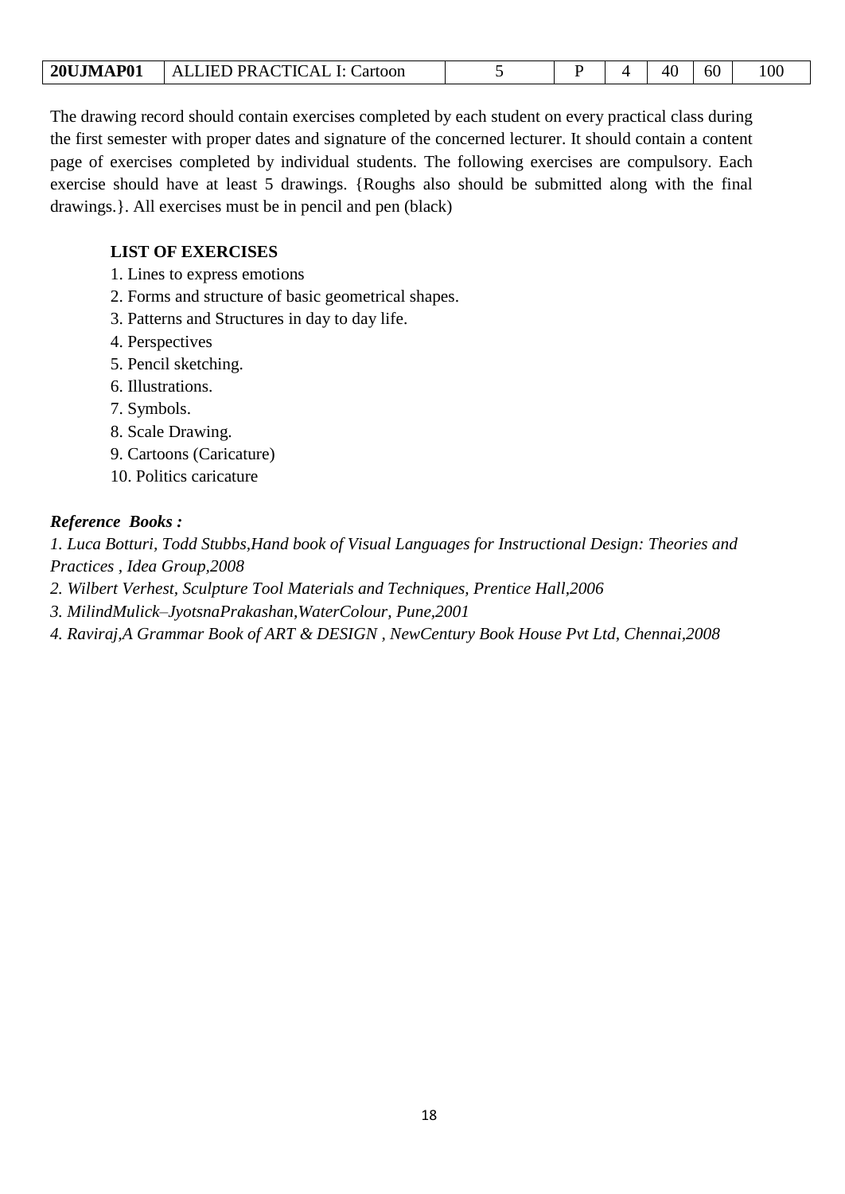| ALLIED PRACTICAL I: Cartoon<br><b>20UJMAP01</b> |  |  |  |  | 60 | 100 |
|-------------------------------------------------|--|--|--|--|----|-----|
|-------------------------------------------------|--|--|--|--|----|-----|

The drawing record should contain exercises completed by each student on every practical class during the first semester with proper dates and signature of the concerned lecturer. It should contain a content page of exercises completed by individual students. The following exercises are compulsory. Each exercise should have at least 5 drawings. {Roughs also should be submitted along with the final drawings.}. All exercises must be in pencil and pen (black)

## **LIST OF EXERCISES**

1. Lines to express emotions

- 2. Forms and structure of basic geometrical shapes.
- 3. Patterns and Structures in day to day life.
- 4. Perspectives
- 5. Pencil sketching.
- 6. Illustrations.
- 7. Symbols.
- 8. Scale Drawing.
- 9. Cartoons (Caricature)
- 10. Politics caricature

## *Reference Books :*

*1. Luca Botturi, Todd Stubbs,Hand book of Visual Languages for Instructional Design: Theories and Practices , Idea Group,2008* 

- *2. Wilbert Verhest, Sculpture Tool Materials and Techniques, Prentice Hall,2006*
- *3. MilindMulick–JyotsnaPrakashan,WaterColour, Pune,2001*
- *4. Raviraj,A Grammar Book of ART & DESIGN , NewCentury Book House Pvt Ltd, Chennai,2008*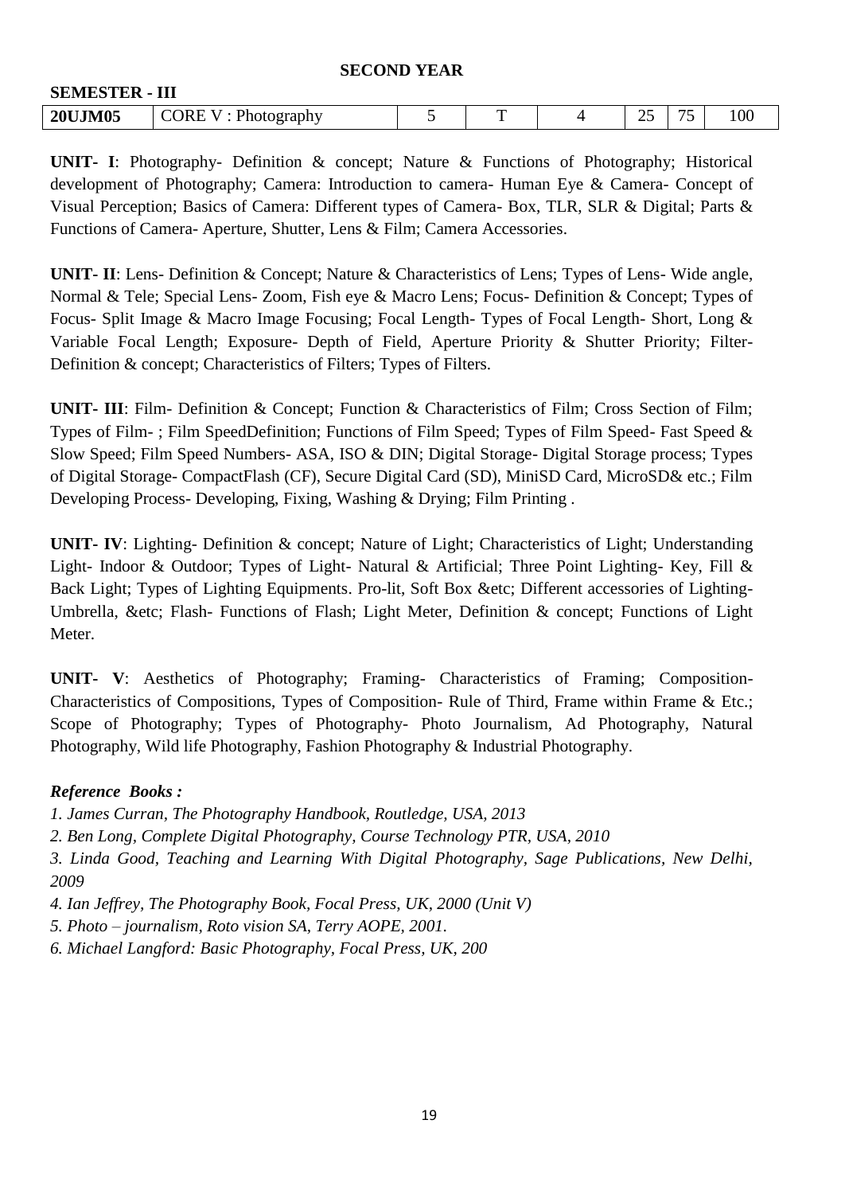#### **SECOND YEAR**

| <b>SEMESTER - III</b> |                        |        |    |          |                  |
|-----------------------|------------------------|--------|----|----------|------------------|
| <b>20UJM05</b>        | CORE V:<br>Photography | m<br>- | ~~ | ヮ<br>. . | 100 <sub>1</sub> |

**UNIT- I**: Photography- Definition & concept; Nature & Functions of Photography; Historical development of Photography; Camera: Introduction to camera- Human Eye & Camera- Concept of Visual Perception; Basics of Camera: Different types of Camera- Box, TLR, SLR & Digital; Parts & Functions of Camera- Aperture, Shutter, Lens & Film; Camera Accessories.

**UNIT- II**: Lens- Definition & Concept; Nature & Characteristics of Lens; Types of Lens- Wide angle, Normal & Tele; Special Lens- Zoom, Fish eye & Macro Lens; Focus- Definition & Concept; Types of Focus- Split Image & Macro Image Focusing; Focal Length- Types of Focal Length- Short, Long & Variable Focal Length; Exposure- Depth of Field, Aperture Priority & Shutter Priority; Filter-Definition & concept; Characteristics of Filters; Types of Filters.

**UNIT- III**: Film- Definition & Concept; Function & Characteristics of Film; Cross Section of Film; Types of Film- ; Film SpeedDefinition; Functions of Film Speed; Types of Film Speed- Fast Speed & Slow Speed; Film Speed Numbers- ASA, ISO & DIN; Digital Storage- Digital Storage process; Types of Digital Storage- CompactFlash (CF), Secure Digital Card (SD), MiniSD Card, MicroSD& etc.; Film Developing Process- Developing, Fixing, Washing & Drying; Film Printing .

**UNIT- IV**: Lighting- Definition & concept; Nature of Light; Characteristics of Light; Understanding Light- Indoor & Outdoor; Types of Light- Natural & Artificial; Three Point Lighting- Key, Fill & Back Light; Types of Lighting Equipments. Pro-lit, Soft Box &etc; Different accessories of Lighting-Umbrella, &etc; Flash- Functions of Flash; Light Meter, Definition & concept; Functions of Light Meter.

**UNIT- V**: Aesthetics of Photography; Framing- Characteristics of Framing; Composition-Characteristics of Compositions, Types of Composition- Rule of Third, Frame within Frame & Etc.; Scope of Photography; Types of Photography- Photo Journalism, Ad Photography, Natural Photography, Wild life Photography, Fashion Photography & Industrial Photography.

## *Reference Books :*

*1. James Curran, The Photography Handbook, Routledge, USA, 2013* 

*2. Ben Long, Complete Digital Photography, Course Technology PTR, USA, 2010* 

*3. Linda Good, Teaching and Learning With Digital Photography, Sage Publications, New Delhi, 2009*

*4. Ian Jeffrey, The Photography Book, Focal Press, UK, 2000 (Unit V)* 

*5. Photo – journalism, Roto vision SA, Terry AOPE, 2001.* 

*6. Michael Langford: Basic Photography, Focal Press, UK, 200*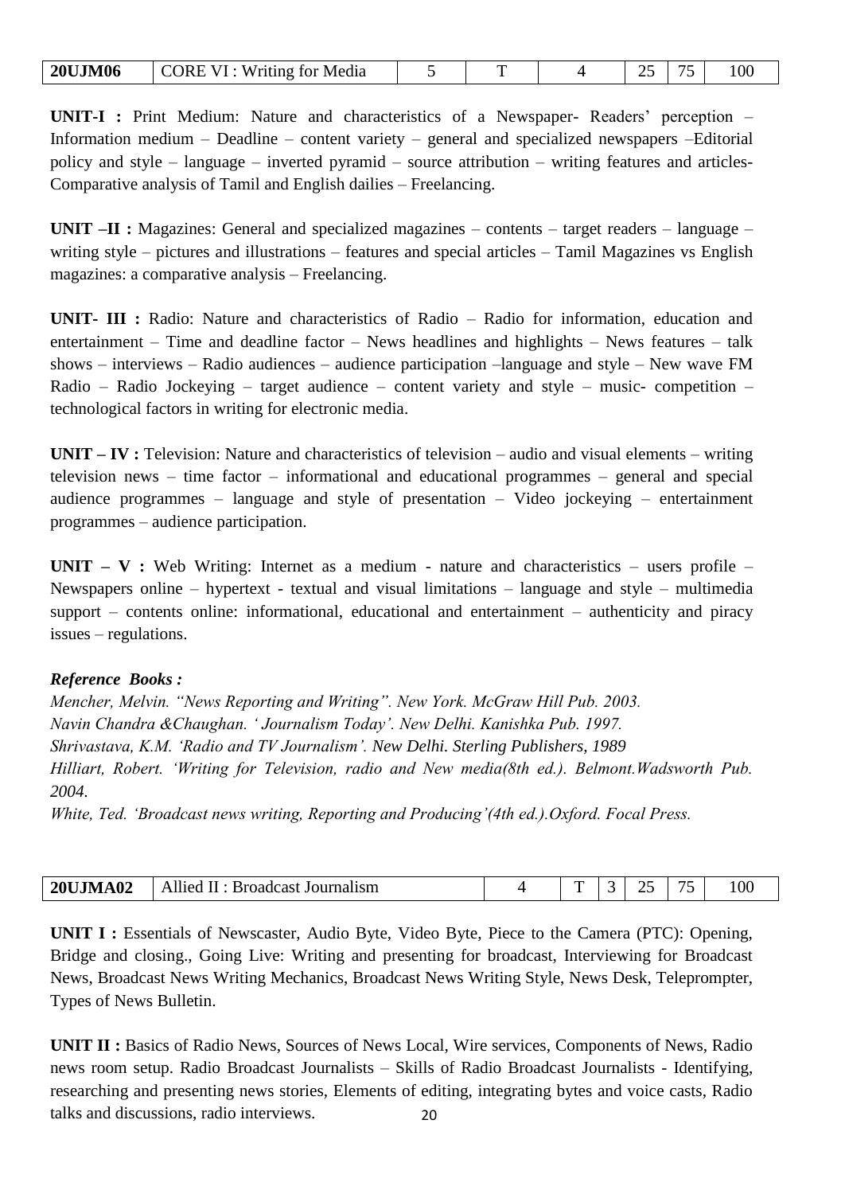| <b>20UJM06</b> | CORE VI : Writing for Media |  |  |  |  |  | 100 |
|----------------|-----------------------------|--|--|--|--|--|-----|
|----------------|-----------------------------|--|--|--|--|--|-----|

**UNIT-I :** Print Medium: Nature and characteristics of a Newspaper- Readers' perception – Information medium – Deadline – content variety – general and specialized newspapers –Editorial policy and style – language – inverted pyramid – source attribution – writing features and articles-Comparative analysis of Tamil and English dailies – Freelancing.

**UNIT –II :** Magazines: General and specialized magazines – contents – target readers – language – writing style – pictures and illustrations – features and special articles – Tamil Magazines vs English magazines: a comparative analysis – Freelancing.

**UNIT- III :** Radio: Nature and characteristics of Radio – Radio for information, education and entertainment – Time and deadline factor – News headlines and highlights – News features – talk shows – interviews – Radio audiences – audience participation –language and style – New wave FM Radio – Radio Jockeying – target audience – content variety and style – music- competition – technological factors in writing for electronic media.

**UNIT – IV :** Television: Nature and characteristics of television – audio and visual elements – writing television news – time factor – informational and educational programmes – general and special audience programmes – language and style of presentation – Video jockeying – entertainment programmes – audience participation.

**UNIT – V :** Web Writing: Internet as a medium - nature and characteristics – users profile – Newspapers online – hypertext - textual and visual limitations – language and style – multimedia support – contents online: informational, educational and entertainment – authenticity and piracy issues – regulations.

#### *Reference Books :*

*Mencher, Melvin. "News Reporting and Writing". New York. McGraw Hill Pub. 2003. Navin Chandra &Chaughan. " Journalism Today". New Delhi. Kanishka Pub. 1997. Shrivastava, K.M. "Radio and TV Journalism". New Delhi. Sterling Publishers, 1989 Hilliart, Robert. "Writing for Television, radio and New media(8th ed.). Belmont.Wadsworth Pub. 2004.*

*White, Ted. "Broadcast news writing, Reporting and Producing"(4th ed.).Oxford. Focal Press.*

| <b>20UJMA02</b> | Allied<br>Broadcast Journalism<br>Ш. | - |  | $\sim$ | 100 <sub>1</sub> |
|-----------------|--------------------------------------|---|--|--------|------------------|

**UNIT I :** Essentials of Newscaster, Audio Byte, Video Byte, Piece to the Camera (PTC): Opening, Bridge and closing., Going Live: Writing and presenting for broadcast, Interviewing for Broadcast News, Broadcast News Writing Mechanics, Broadcast News Writing Style, News Desk, Teleprompter, Types of News Bulletin.

20 **UNIT II :** Basics of Radio News, Sources of News Local, Wire services, Components of News, Radio news room setup. Radio Broadcast Journalists – Skills of Radio Broadcast Journalists - Identifying, researching and presenting news stories, Elements of editing, integrating bytes and voice casts, Radio talks and discussions, radio interviews.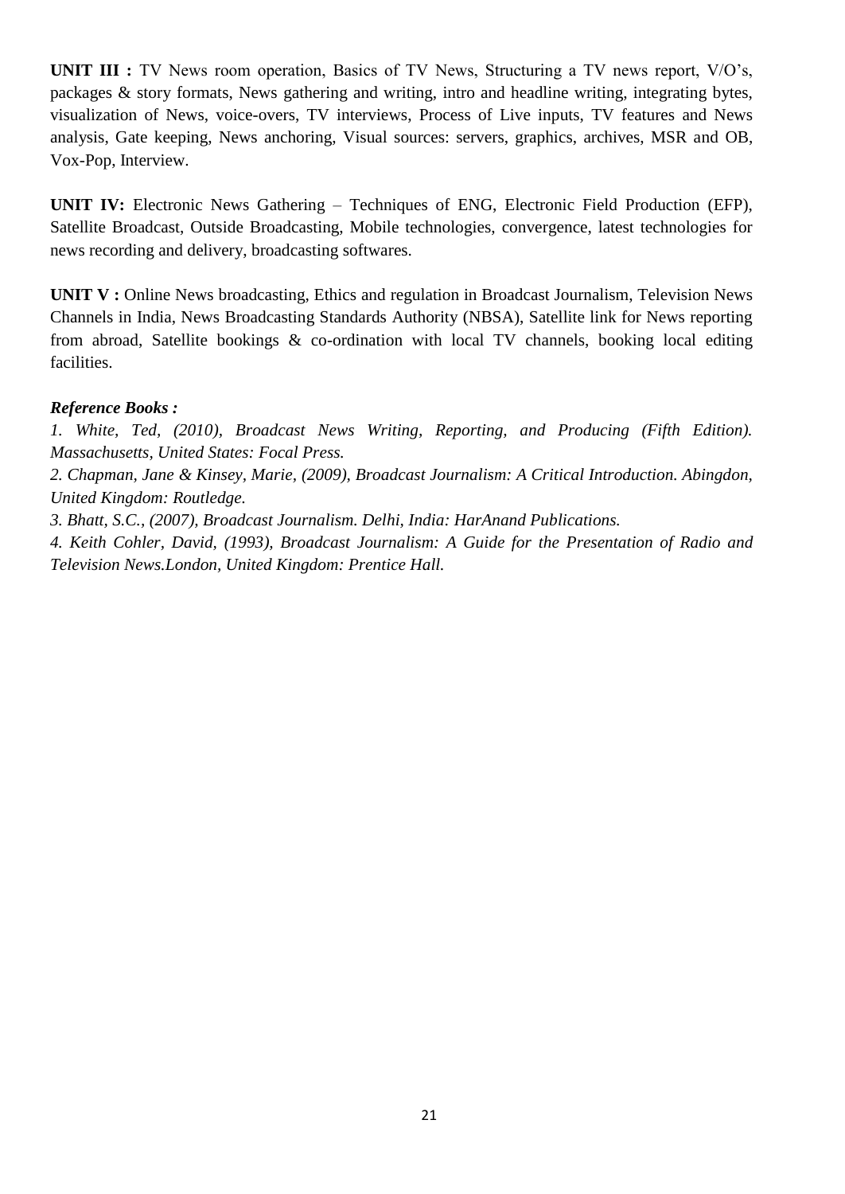**UNIT III :** TV News room operation, Basics of TV News, Structuring a TV news report, V/O's, packages & story formats, News gathering and writing, intro and headline writing, integrating bytes, visualization of News, voice-overs, TV interviews, Process of Live inputs, TV features and News analysis, Gate keeping, News anchoring, Visual sources: servers, graphics, archives, MSR and OB, Vox-Pop, Interview.

**UNIT IV:** Electronic News Gathering – Techniques of ENG, Electronic Field Production (EFP), Satellite Broadcast, Outside Broadcasting, Mobile technologies, convergence, latest technologies for news recording and delivery, broadcasting softwares.

**UNIT V :** Online News broadcasting, Ethics and regulation in Broadcast Journalism, Television News Channels in India, News Broadcasting Standards Authority (NBSA), Satellite link for News reporting from abroad, Satellite bookings & co-ordination with local TV channels, booking local editing facilities.

#### *Reference Books :*

*1. White, Ted, (2010), Broadcast News Writing, Reporting, and Producing (Fifth Edition). Massachusetts, United States: Focal Press.*

*2. Chapman, Jane & Kinsey, Marie, (2009), Broadcast Journalism: A Critical Introduction. Abingdon, United Kingdom: Routledge.*

*3. Bhatt, S.C., (2007), Broadcast Journalism. Delhi, India: HarAnand Publications.*

*4. Keith Cohler, David, (1993), Broadcast Journalism: A Guide for the Presentation of Radio and Television News.London, United Kingdom: Prentice Hall.*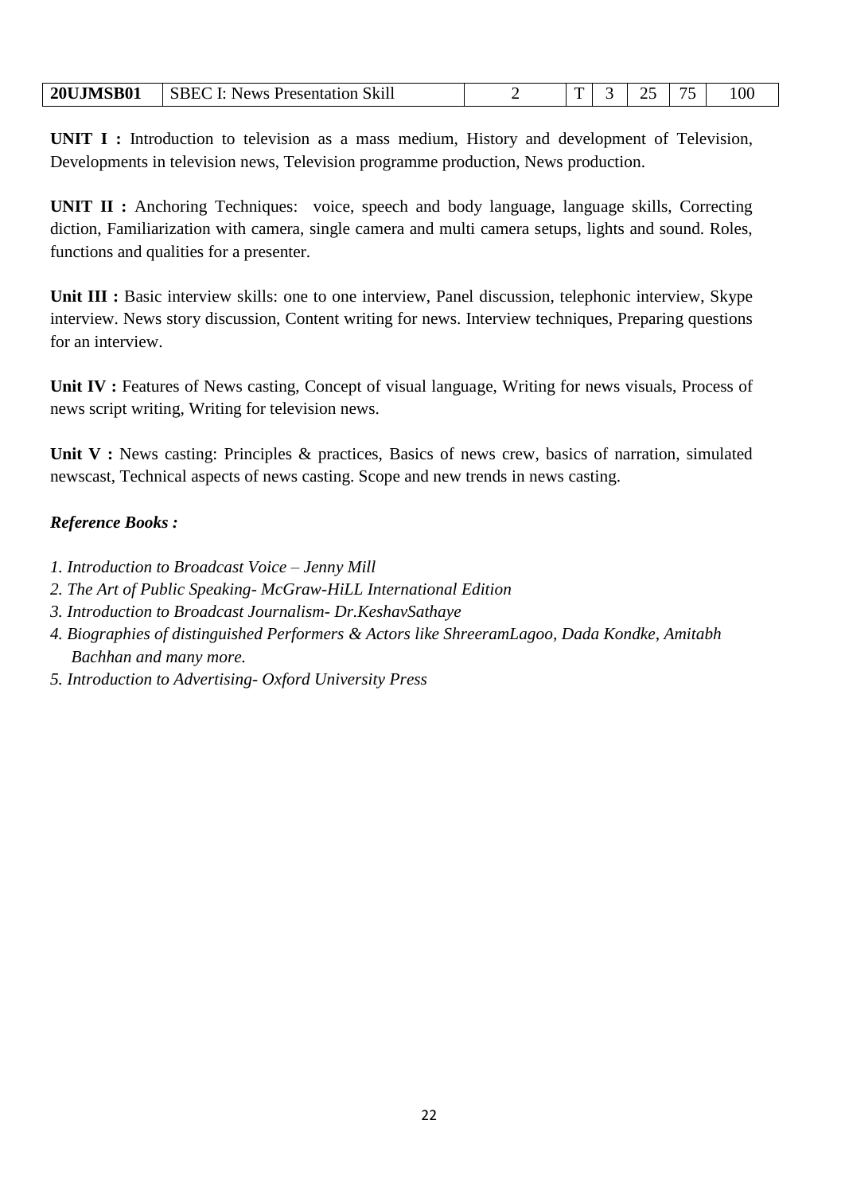| I: News Presentation Skill<br><b>20UJMSB01</b><br><b>ISBEC</b> |  | - | and the control of the control of | $\overline{\phantom{m}}$ | $100\,$ |
|----------------------------------------------------------------|--|---|-----------------------------------|--------------------------|---------|
|----------------------------------------------------------------|--|---|-----------------------------------|--------------------------|---------|

**UNIT I :** Introduction to television as a mass medium, History and development of Television, Developments in television news, Television programme production, News production.

**UNIT II :** Anchoring Techniques: voice, speech and body language, language skills, Correcting diction, Familiarization with camera, single camera and multi camera setups, lights and sound. Roles, functions and qualities for a presenter.

Unit III : Basic interview skills: one to one interview, Panel discussion, telephonic interview, Skype interview. News story discussion, Content writing for news. Interview techniques, Preparing questions for an interview.

Unit IV : Features of News casting, Concept of visual language, Writing for news visuals, Process of news script writing, Writing for television news.

Unit V: News casting: Principles & practices, Basics of news crew, basics of narration, simulated newscast, Technical aspects of news casting. Scope and new trends in news casting.

## *Reference Books :*

- *1. Introduction to Broadcast Voice – Jenny Mill*
- *2. The Art of Public Speaking- McGraw-HiLL International Edition*
- *3. Introduction to Broadcast Journalism- Dr.KeshavSathaye*
- *4. Biographies of distinguished Performers & Actors like ShreeramLagoo, Dada Kondke, Amitabh Bachhan and many more.*
- *5. Introduction to Advertising- Oxford University Press*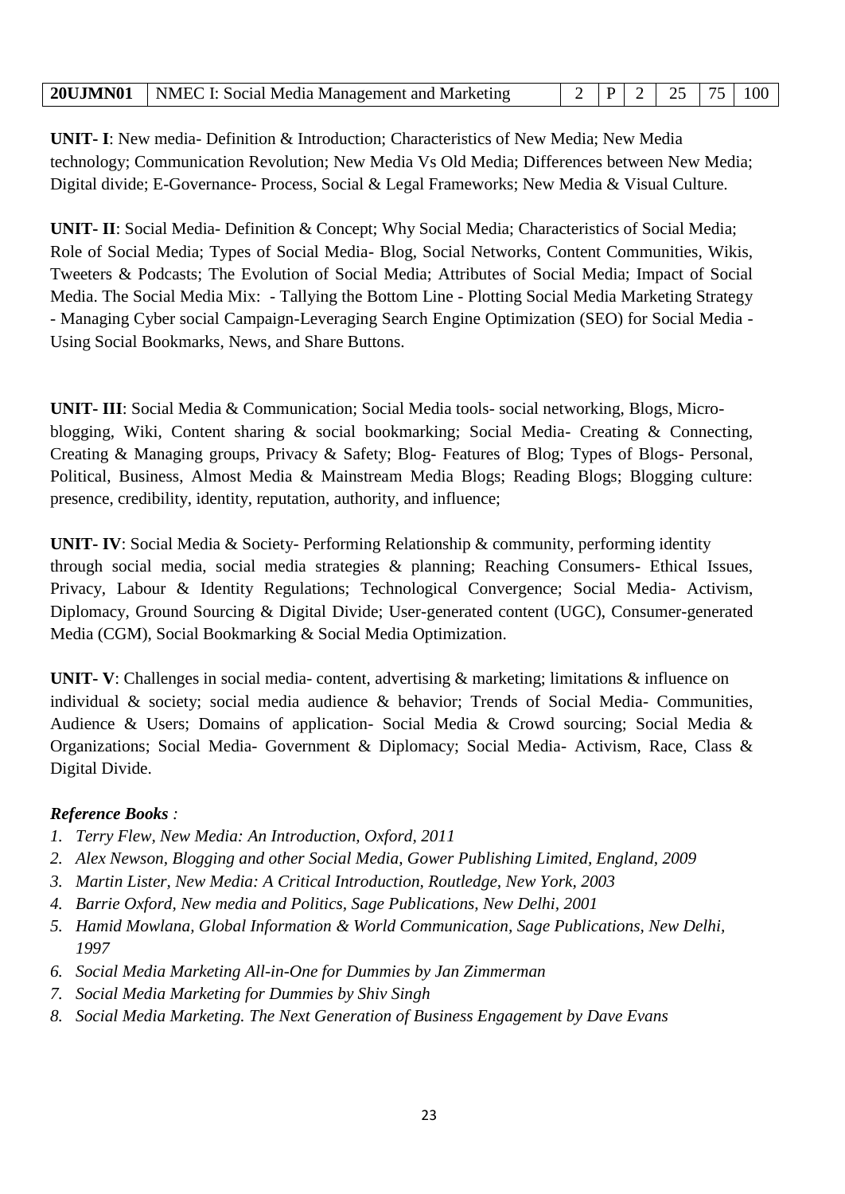|  | <b>20UJMN01</b>   NMEC I: Social Media Management and Marketing |  |  |  |  |  | $\mid$ 2   P   2   25   75   100 |
|--|-----------------------------------------------------------------|--|--|--|--|--|----------------------------------|
|--|-----------------------------------------------------------------|--|--|--|--|--|----------------------------------|

**UNIT- I**: New media- Definition & Introduction; Characteristics of New Media; New Media technology; Communication Revolution; New Media Vs Old Media; Differences between New Media; Digital divide; E-Governance- Process, Social & Legal Frameworks; New Media & Visual Culture.

**UNIT- II**: Social Media- Definition & Concept; Why Social Media; Characteristics of Social Media; Role of Social Media; Types of Social Media- Blog, Social Networks, Content Communities, Wikis, Tweeters & Podcasts; The Evolution of Social Media; Attributes of Social Media; Impact of Social Media. The Social Media Mix: - Tallying the Bottom Line - Plotting Social Media Marketing Strategy - Managing Cyber social Campaign-Leveraging Search Engine Optimization (SEO) for Social Media - Using Social Bookmarks, News, and Share Buttons.

**UNIT- III**: Social Media & Communication; Social Media tools- social networking, Blogs, Microblogging, Wiki, Content sharing & social bookmarking; Social Media- Creating & Connecting, Creating & Managing groups, Privacy & Safety; Blog- Features of Blog; Types of Blogs- Personal, Political, Business, Almost Media & Mainstream Media Blogs; Reading Blogs; Blogging culture: presence, credibility, identity, reputation, authority, and influence;

**UNIT- IV**: Social Media & Society- Performing Relationship & community, performing identity through social media, social media strategies & planning; Reaching Consumers- Ethical Issues, Privacy, Labour & Identity Regulations; Technological Convergence; Social Media- Activism, Diplomacy, Ground Sourcing & Digital Divide; User-generated content (UGC), Consumer-generated Media (CGM), Social Bookmarking & Social Media Optimization.

**UNIT- V**: Challenges in social media- content, advertising & marketing; limitations & influence on individual & society; social media audience & behavior; Trends of Social Media- Communities, Audience & Users; Domains of application- Social Media & Crowd sourcing; Social Media & Organizations; Social Media- Government & Diplomacy; Social Media- Activism, Race, Class & Digital Divide.

# *Reference Books :*

- *1. Terry Flew, New Media: An Introduction, Oxford, 2011*
- *2. Alex Newson, Blogging and other Social Media, Gower Publishing Limited, England, 2009*
- *3. Martin Lister, New Media: A Critical Introduction, Routledge, New York, 2003*
- *4. Barrie Oxford, New media and Politics, Sage Publications, New Delhi, 2001*
- *5. Hamid Mowlana, Global Information & World Communication, Sage Publications, New Delhi, 1997*
- *6. Social Media Marketing All-in-One for Dummies by Jan Zimmerman*
- *7. Social Media Marketing for Dummies by Shiv Singh*
- *8. Social Media Marketing. The Next Generation of Business Engagement by Dave Evans*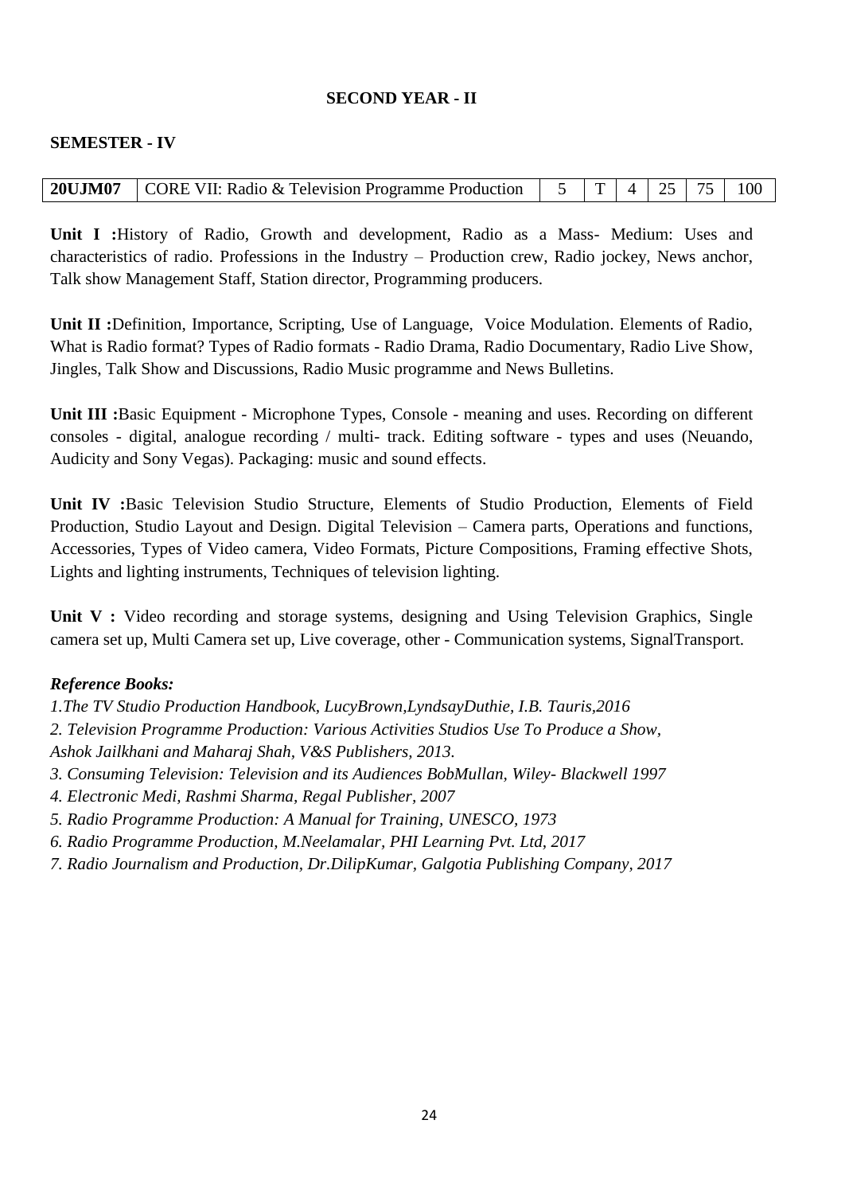## **SECOND YEAR - II**

#### **SEMESTER - IV**

| <b>20UJM07</b> CORE VII: Radio & Television Programme Production $\begin{vmatrix} 5 & 1 \end{vmatrix}$ $\begin{vmatrix} 4 & 25 & 75 \end{vmatrix}$ 100 |  |  |  |
|--------------------------------------------------------------------------------------------------------------------------------------------------------|--|--|--|

**Unit I :**History of Radio, Growth and development, Radio as a Mass- Medium: Uses and characteristics of radio. Professions in the Industry – Production crew, Radio jockey, News anchor, Talk show Management Staff, Station director, Programming producers.

**Unit II :**Definition, Importance, Scripting, Use of Language, Voice Modulation. Elements of Radio, What is Radio format? Types of Radio formats - Radio Drama, Radio Documentary, Radio Live Show, Jingles, Talk Show and Discussions, Radio Music programme and News Bulletins.

**Unit III :**Basic Equipment - Microphone Types, Console - meaning and uses. Recording on different consoles - digital, analogue recording / multi- track. Editing software - types and uses (Neuando, Audicity and Sony Vegas). Packaging: music and sound effects.

**Unit IV :**Basic Television Studio Structure, Elements of Studio Production, Elements of Field Production, Studio Layout and Design. Digital Television – Camera parts, Operations and functions, Accessories, Types of Video camera, Video Formats, Picture Compositions, Framing effective Shots, Lights and lighting instruments, Techniques of television lighting.

Unit V : Video recording and storage systems, designing and Using Television Graphics, Single camera set up, Multi Camera set up, Live coverage, other - Communication systems, SignalTransport.

#### *Reference Books:*

*1.The TV Studio Production Handbook, [LucyBrown,](https://www.amazon.com/s/ref%3Ddp_byline_sr_book_1?ie=UTF8&amp%3Btext=Lucy%2BBrown&amp%3Bsearch-alias=books&amp%3Bfield-author=Lucy%2BBrown&amp%3Bsort=relevancerank)[LyndsayDuthie,](https://www.amazon.com/s/ref%3Ddp_byline_sr_book_2?ie=UTF8&amp%3Btext=Lyndsay%2BDuthie&amp%3Bsearch-alias=books&amp%3Bfield-author=Lyndsay%2BDuthie&amp%3Bsort=relevancerank) I.B. Tauris,2016 2. Television Programme Production: Various Activities Studios Use To Produce a Show, Ashok Jailkhani and Maharaj Shah, V&S Publishers, 2013. 3. Consuming Television: Television and its Audiences [BobMu](https://www.amazon.in/Bob-Mullan/e/B001HPKKZ2/ref%3Ddp_byline_cont_book_1)llan, Wiley- Blackwell 1997 4. Electronic Medi, Rashmi Sharma, Regal Publisher, 2007 5. Radio Programme Production: A Manual for Training, [UNESCO,](https://www.amazon.in/s/ref%3Ddp_byline_sr_book_1?ie=UTF8&amp%3Bfield-author=UNESCO&amp%3Bsearch-alias=stripbooks) 1973*

- *6. Radio Programme Production, [M.Neelamalar,](https://www.amazon.in/s/ref%3Ddp_byline_sr_book_1?ie=UTF8&amp%3Bfield-author=M.%2BNeelamalar&amp%3Bsearch-alias=stripbooks) PHI Learning Pvt. Ltd, 2017*
- *7. Radio Journalism and Production, [Dr.DilipKumar,](https://www.amazon.in/s/ref%3Ddp_byline_sr_book_1?ie=UTF8&amp%3Bfield-author=Dr.%2BDilip%2BKumar&amp%3Bsearch-alias=stripbooks) Galgotia Publishing Company, 2017*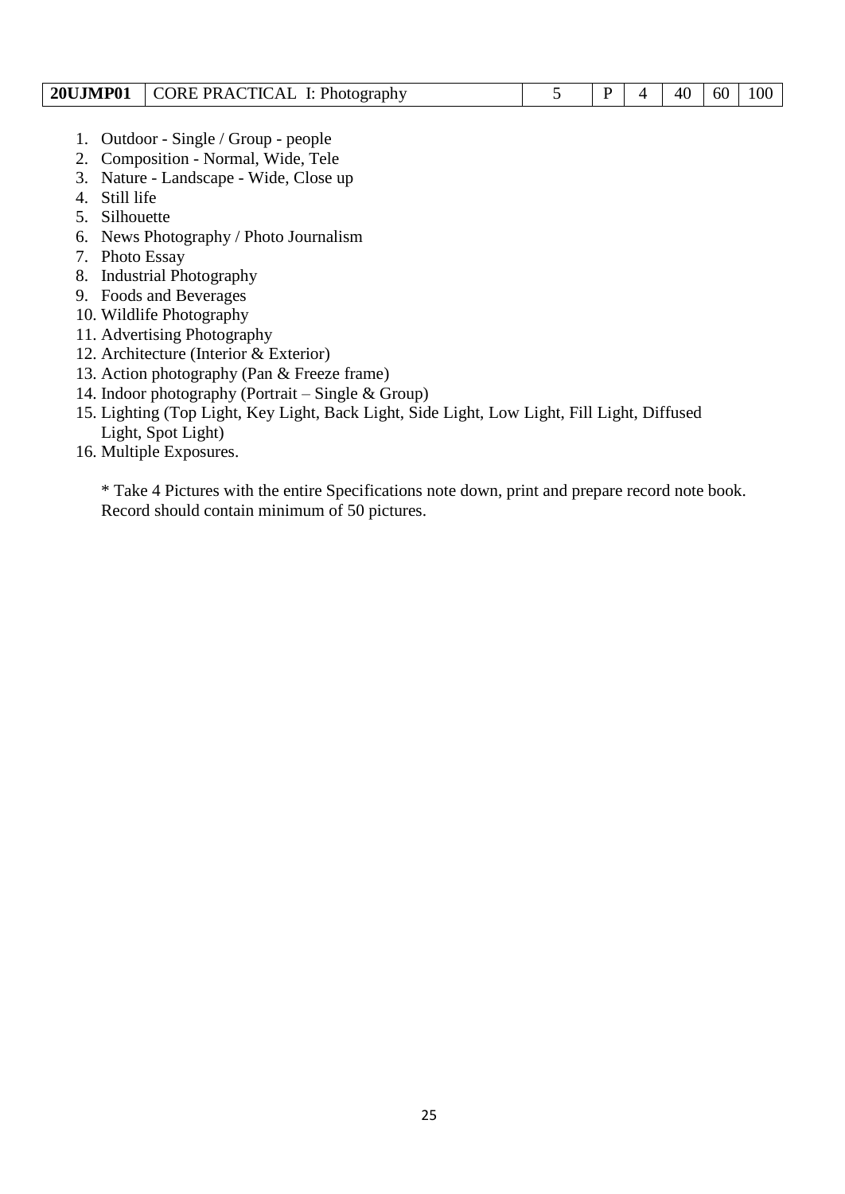| CORE PRACTICAL I: Photography<br><b>20UJMP01</b> |  |  |  | 40 | 60 | 100 |
|--------------------------------------------------|--|--|--|----|----|-----|
|--------------------------------------------------|--|--|--|----|----|-----|

- 1. Outdoor Single / Group people
- 2. Composition Normal, Wide, Tele
- 3. Nature Landscape Wide, Close up
- 4. Still life
- 5. Silhouette
- 6. News Photography / Photo Journalism
- 7. Photo Essay
- 8. Industrial Photography
- 9. Foods and Beverages
- 10. Wildlife Photography
- 11. Advertising Photography
- 12. Architecture (Interior & Exterior)
- 13. Action photography (Pan & Freeze frame)
- 14. Indoor photography (Portrait Single & Group)
- 15. Lighting (Top Light, Key Light, Back Light, Side Light, Low Light, Fill Light, Diffused Light, Spot Light)
- 16. Multiple Exposures.

\* Take 4 Pictures with the entire Specifications note down, print and prepare record note book. Record should contain minimum of 50 pictures.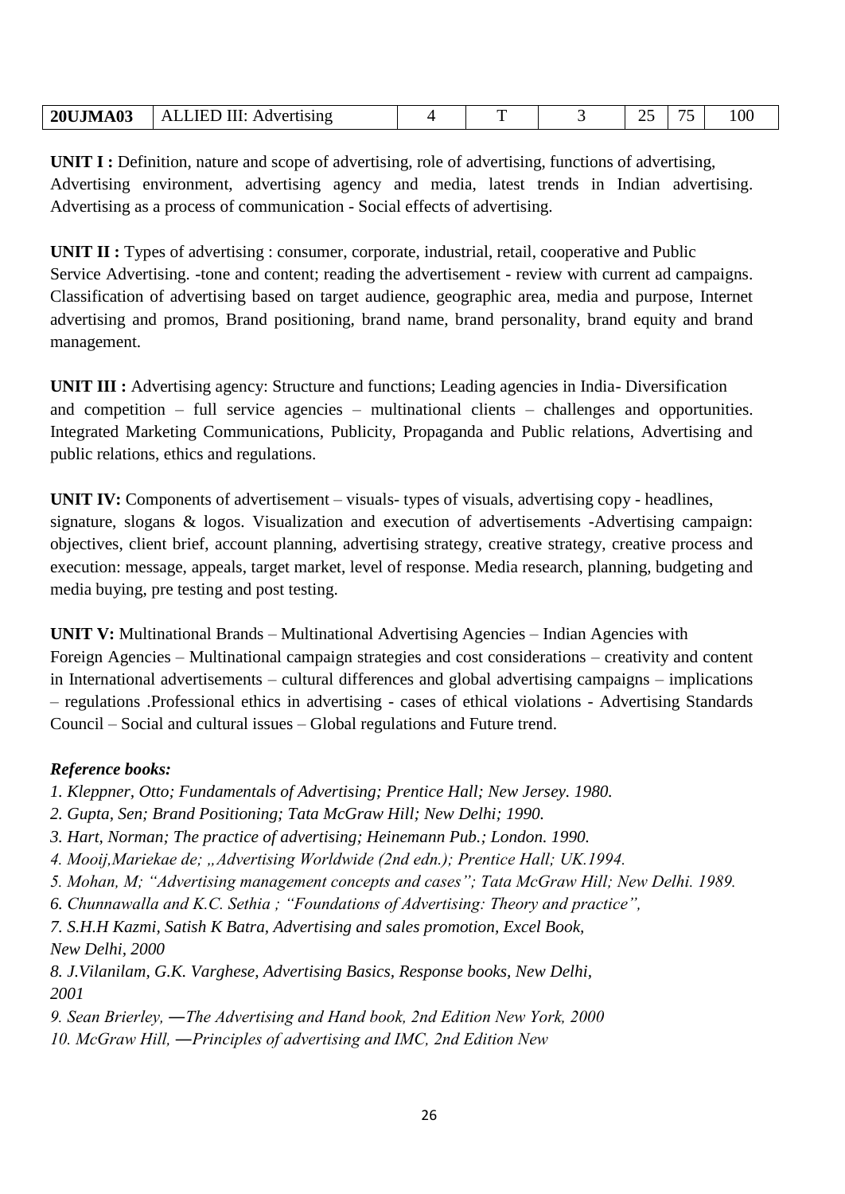| <b>20UJMA03</b> | III:<br>ALLIED<br>Advertising | - | ∸- | - -<br>ັ | 100 |
|-----------------|-------------------------------|---|----|----------|-----|
|                 |                               |   |    |          |     |

**UNIT I :** Definition, nature and scope of advertising, role of advertising, functions of advertising, Advertising environment, advertising agency and media, latest trends in Indian advertising. Advertising as a process of communication - Social effects of advertising.

**UNIT II :** Types of advertising : consumer, corporate, industrial, retail, cooperative and Public Service Advertising. -tone and content; reading the advertisement - review with current ad campaigns. Classification of advertising based on target audience, geographic area, media and purpose, Internet advertising and promos, Brand positioning, brand name, brand personality, brand equity and brand management.

**UNIT III :** Advertising agency: Structure and functions; Leading agencies in India- Diversification and competition – full service agencies – multinational clients – challenges and opportunities. Integrated Marketing Communications, Publicity, Propaganda and Public relations, Advertising and public relations, ethics and regulations.

**UNIT IV:** Components of advertisement – visuals- types of visuals, advertising copy - headlines, signature, slogans & logos. Visualization and execution of advertisements -Advertising campaign: objectives, client brief, account planning, advertising strategy, creative strategy, creative process and execution: message, appeals, target market, level of response. Media research, planning, budgeting and media buying, pre testing and post testing.

**UNIT V:** Multinational Brands – Multinational Advertising Agencies – Indian Agencies with Foreign Agencies – Multinational campaign strategies and cost considerations – creativity and content in International advertisements – cultural differences and global advertising campaigns – implications – regulations .Professional ethics in advertising - cases of ethical violations - Advertising Standards Council – Social and cultural issues – Global regulations and Future trend.

## *Reference books:*

*1. Kleppner, Otto; Fundamentals of Advertising; Prentice Hall; New Jersey. 1980.* 

- *2. Gupta, Sen; Brand Positioning; Tata McGraw Hill; New Delhi; 1990.*
- *3. Hart, Norman; The practice of advertising; Heinemann Pub.; London. 1990.*
- *4. Mooij,Mariekae de; "Advertising Worldwide (2nd edn.); Prentice Hall; UK.1994.*
- *5. Mohan, M; "Advertising management concepts and cases"; Tata McGraw Hill; New Delhi. 1989.*

*6. Chunnawalla and K.C. Sethia ; "Foundations of Advertising: Theory and practice",* 

*7. S.H.H Kazmi, Satish K Batra, Advertising and sales promotion, Excel Book, New Delhi, 2000* 

*8. J.Vilanilam, G.K. Varghese, Advertising Basics, Response books, New Delhi, 2001* 

*9. Sean Brierley, ―The Advertising and Hand book, 2nd Edition New York, 2000* 

*10. McGraw Hill, ―Principles of advertising and IMC, 2nd Edition New*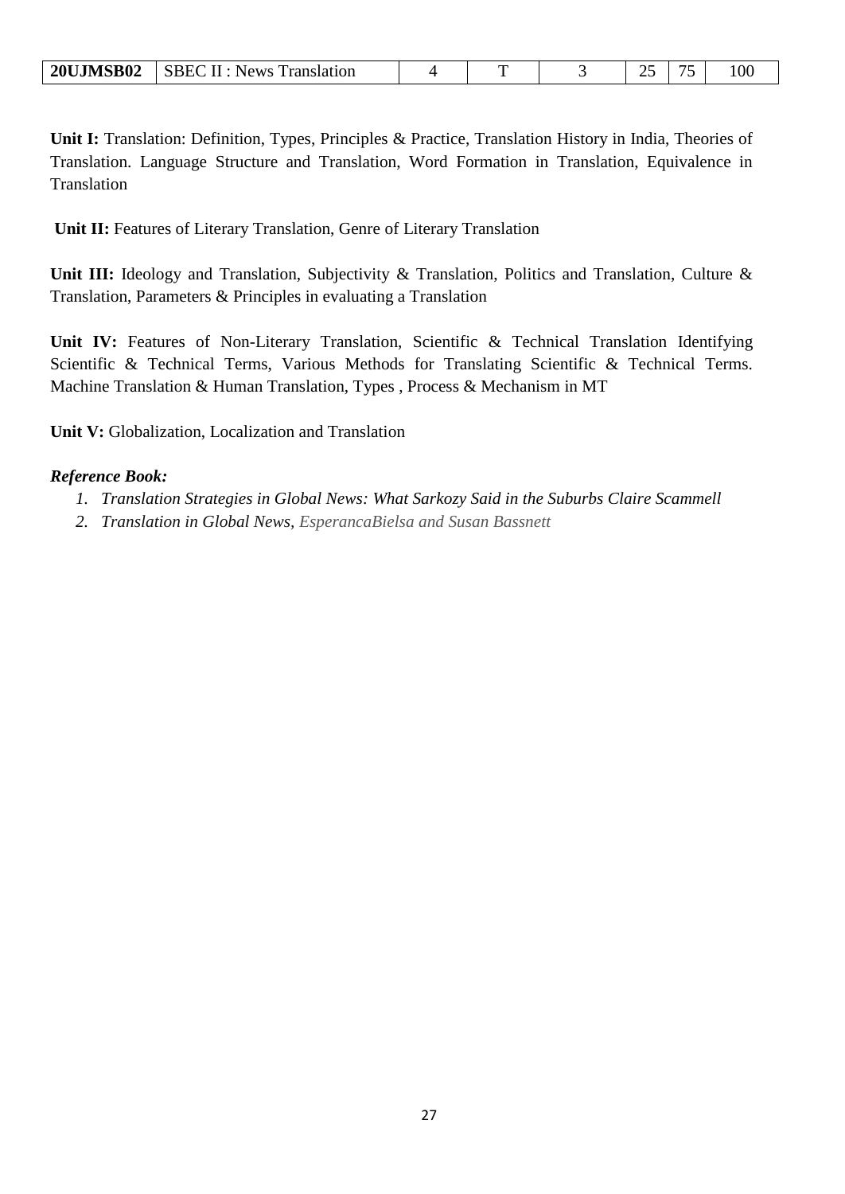| <b>20UJMSB02</b> | SBEC II : News Translation |  |  |  |
|------------------|----------------------------|--|--|--|
|                  |                            |  |  |  |

**Unit I:** Translation: Definition, Types, Principles & Practice, Translation History in India, Theories of Translation. Language Structure and Translation, Word Formation in Translation, Equivalence in **Translation** 

**Unit II:** Features of Literary Translation, Genre of Literary Translation

Unit III: Ideology and Translation, Subjectivity & Translation, Politics and Translation, Culture & Translation, Parameters & Principles in evaluating a Translation

**Unit IV:** Features of Non-Literary Translation, Scientific & Technical Translation Identifying Scientific & Technical Terms, Various Methods for Translating Scientific & Technical Terms. Machine Translation & Human Translation, Types , Process & Mechanism in MT

**Unit V:** Globalization, Localization and Translation

#### *Reference Book:*

- *1. Translation Strategies in Global News: What Sarkozy Said in the Suburbs Claire Scammell*
- *2. Translation in Global News, EsperancaBielsa and Susan Bassnett*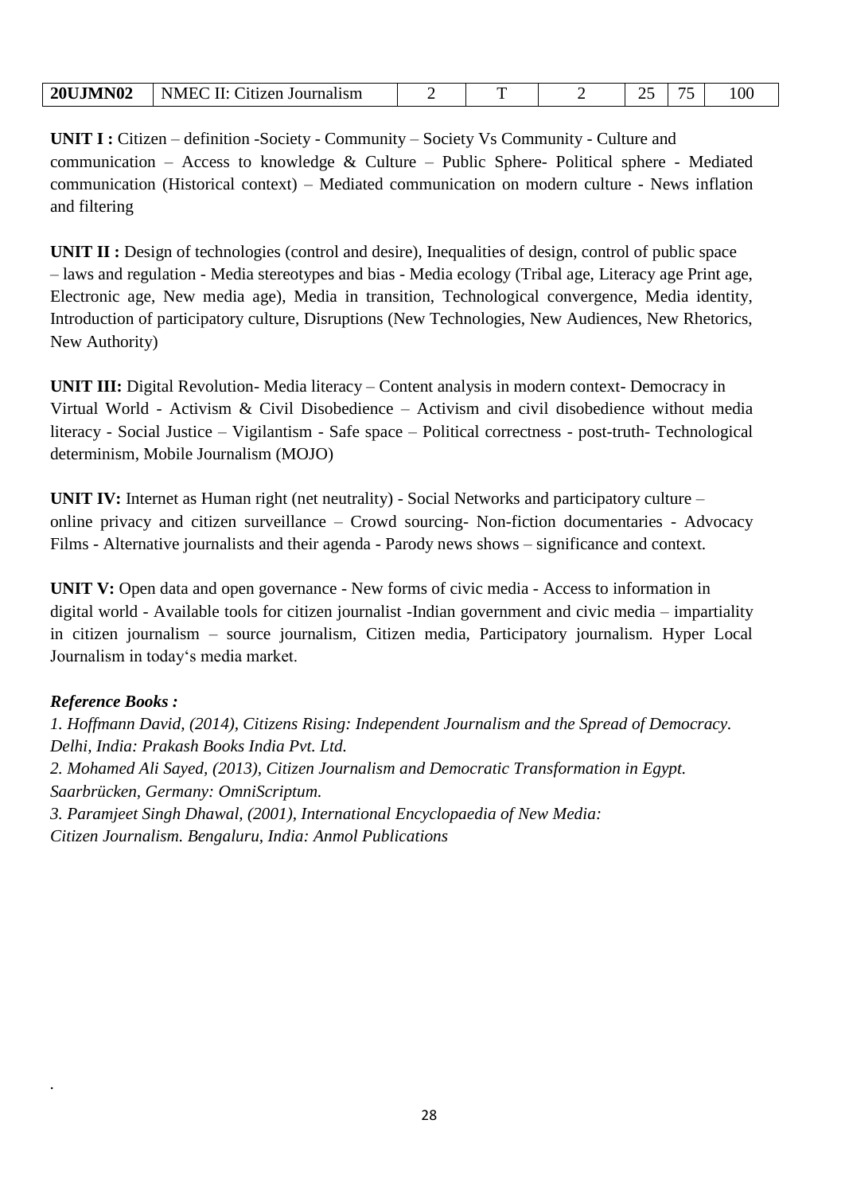| <b>20UJMN02</b><br>NME <sub>C</sub><br>H<br><b>htizen</b><br>Journalism | – |  | ⊷ |  | $.00\,$ |
|-------------------------------------------------------------------------|---|--|---|--|---------|
|-------------------------------------------------------------------------|---|--|---|--|---------|

**UNIT I :** Citizen – definition -Society - Community – Society Vs Community - Culture and communication – Access to knowledge  $&$  Culture – Public Sphere- Political sphere - Mediated communication (Historical context) – Mediated communication on modern culture - News inflation and filtering

**UNIT II :** Design of technologies (control and desire), Inequalities of design, control of public space – laws and regulation - Media stereotypes and bias - Media ecology (Tribal age, Literacy age Print age, Electronic age, New media age), Media in transition, Technological convergence, Media identity, Introduction of participatory culture, Disruptions (New Technologies, New Audiences, New Rhetorics, New Authority)

**UNIT III:** Digital Revolution- Media literacy – Content analysis in modern context- Democracy in Virtual World - Activism & Civil Disobedience – Activism and civil disobedience without media literacy - Social Justice – Vigilantism - Safe space – Political correctness - post-truth- Technological determinism, Mobile Journalism (MOJO)

**UNIT IV:** Internet as Human right (net neutrality) - Social Networks and participatory culture – online privacy and citizen surveillance – Crowd sourcing- Non-fiction documentaries - Advocacy Films - Alternative journalists and their agenda - Parody news shows – significance and context.

**UNIT V:** Open data and open governance - New forms of civic media - Access to information in digital world - Available tools for citizen journalist -Indian government and civic media – impartiality in citizen journalism – source journalism, Citizen media, Participatory journalism. Hyper Local Journalism in today"s media market.

## *Reference Books :*

*.*

*1. Hoffmann David, (2014), Citizens Rising: Independent Journalism and the Spread of Democracy. Delhi, India: Prakash Books India Pvt. Ltd. 2. Mohamed Ali Sayed, (2013), Citizen Journalism and Democratic Transformation in Egypt. Saarbrücken, Germany: OmniScriptum. 3. Paramjeet Singh Dhawal, (2001), International Encyclopaedia of New Media: Citizen Journalism. Bengaluru, India: Anmol Publications*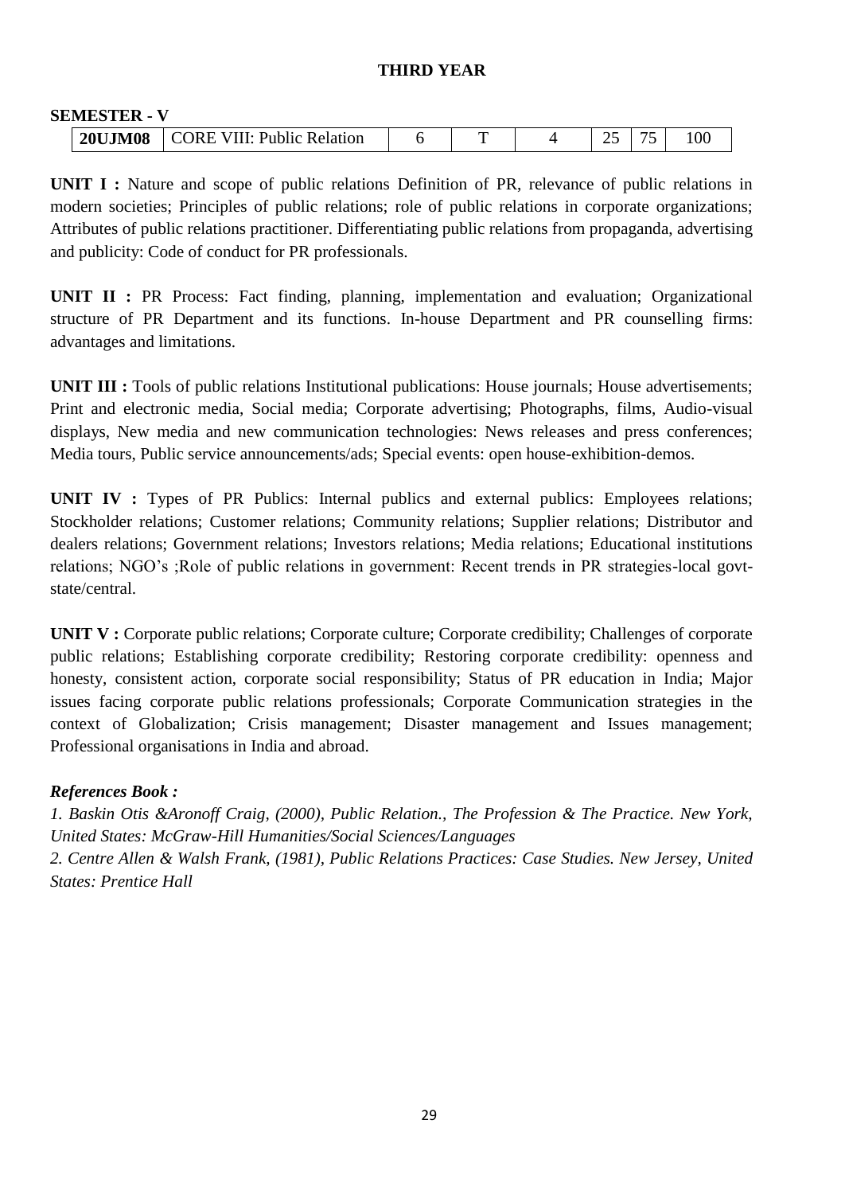#### **THIRD YEAR**

#### **SEMESTER - V**

| .              |                                             |  |  |                |  |
|----------------|---------------------------------------------|--|--|----------------|--|
| <b>20UJM08</b> | <b>EVIII: Public Relation</b><br><b>ORE</b> |  |  | --<br>$\sim$ . |  |

**UNIT I :** Nature and scope of public relations Definition of PR, relevance of public relations in modern societies; Principles of public relations; role of public relations in corporate organizations; Attributes of public relations practitioner. Differentiating public relations from propaganda, advertising and publicity: Code of conduct for PR professionals.

**UNIT II :** PR Process: Fact finding, planning, implementation and evaluation; Organizational structure of PR Department and its functions. In-house Department and PR counselling firms: advantages and limitations.

**UNIT III :** Tools of public relations Institutional publications: House journals; House advertisements; Print and electronic media, Social media; Corporate advertising; Photographs, films, Audio-visual displays, New media and new communication technologies: News releases and press conferences; Media tours, Public service announcements/ads; Special events: open house-exhibition-demos.

**UNIT IV :** Types of PR Publics: Internal publics and external publics: Employees relations; Stockholder relations; Customer relations; Community relations; Supplier relations; Distributor and dealers relations; Government relations; Investors relations; Media relations; Educational institutions relations; NGO's ; Role of public relations in government: Recent trends in PR strategies-local govtstate/central.

**UNIT V :** Corporate public relations; Corporate culture; Corporate credibility; Challenges of corporate public relations; Establishing corporate credibility; Restoring corporate credibility: openness and honesty, consistent action, corporate social responsibility; Status of PR education in India; Major issues facing corporate public relations professionals; Corporate Communication strategies in the context of Globalization; Crisis management; Disaster management and Issues management; Professional organisations in India and abroad.

#### *References Book :*

*1. Baskin Otis &Aronoff Craig, (2000), Public Relation., The Profession & The Practice. New York, United States: McGraw-Hill Humanities/Social Sciences/Languages 2. Centre Allen & Walsh Frank, (1981), Public Relations Practices: Case Studies. New Jersey, United States: Prentice Hall*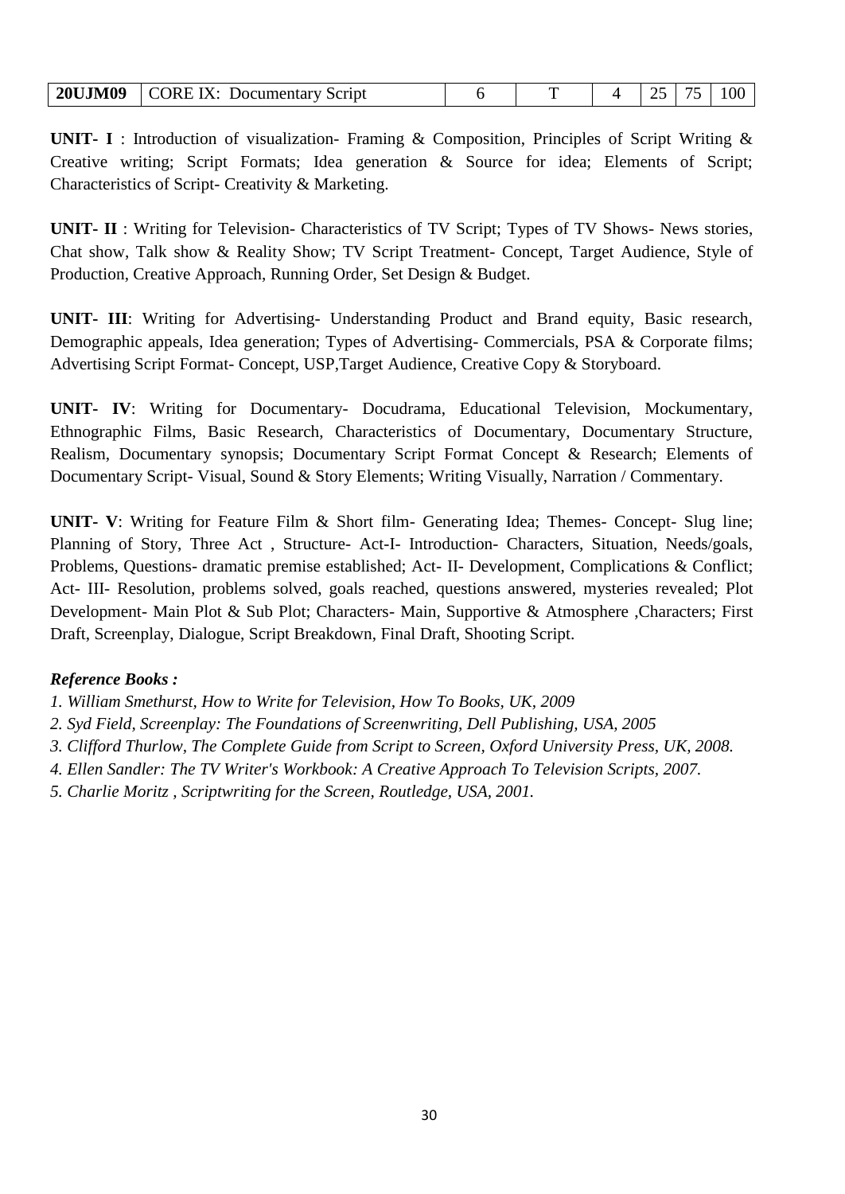|  | <b>20UJM09</b> CORE IX: Documentary Script |  |  |  |  |  |  |
|--|--------------------------------------------|--|--|--|--|--|--|
|--|--------------------------------------------|--|--|--|--|--|--|

**UNIT- I** : Introduction of visualization- Framing & Composition, Principles of Script Writing & Creative writing; Script Formats; Idea generation & Source for idea; Elements of Script; Characteristics of Script- Creativity & Marketing.

**UNIT- II** : Writing for Television- Characteristics of TV Script; Types of TV Shows- News stories, Chat show, Talk show & Reality Show; TV Script Treatment- Concept, Target Audience, Style of Production, Creative Approach, Running Order, Set Design & Budget.

**UNIT- III**: Writing for Advertising- Understanding Product and Brand equity, Basic research, Demographic appeals, Idea generation; Types of Advertising- Commercials, PSA & Corporate films; Advertising Script Format- Concept, USP,Target Audience, Creative Copy & Storyboard.

**UNIT- IV**: Writing for Documentary- Docudrama, Educational Television, Mockumentary, Ethnographic Films, Basic Research, Characteristics of Documentary, Documentary Structure, Realism, Documentary synopsis; Documentary Script Format Concept & Research; Elements of Documentary Script- Visual, Sound & Story Elements; Writing Visually, Narration / Commentary.

**UNIT- V**: Writing for Feature Film & Short film- Generating Idea; Themes- Concept- Slug line; Planning of Story, Three Act , Structure- Act-I- Introduction- Characters, Situation, Needs/goals, Problems, Questions- dramatic premise established; Act- II- Development, Complications & Conflict; Act- III- Resolution, problems solved, goals reached, questions answered, mysteries revealed; Plot Development- Main Plot & Sub Plot; Characters- Main, Supportive & Atmosphere ,Characters; First Draft, Screenplay, Dialogue, Script Breakdown, Final Draft, Shooting Script.

#### *Reference Books :*

- *1. William Smethurst, How to Write for Television, How To Books, UK, 2009*
- *2. Syd Field, Screenplay: The Foundations of Screenwriting, Dell Publishing, USA, 2005*
- *3. Clifford Thurlow, The Complete Guide from Script to Screen, Oxford University Press, UK, 2008.*
- *4. Ellen Sandler: The TV Writer's Workbook: A Creative Approach To Television Scripts, 2007.*
- *5. Charlie Moritz , Scriptwriting for the Screen, Routledge, USA, 2001.*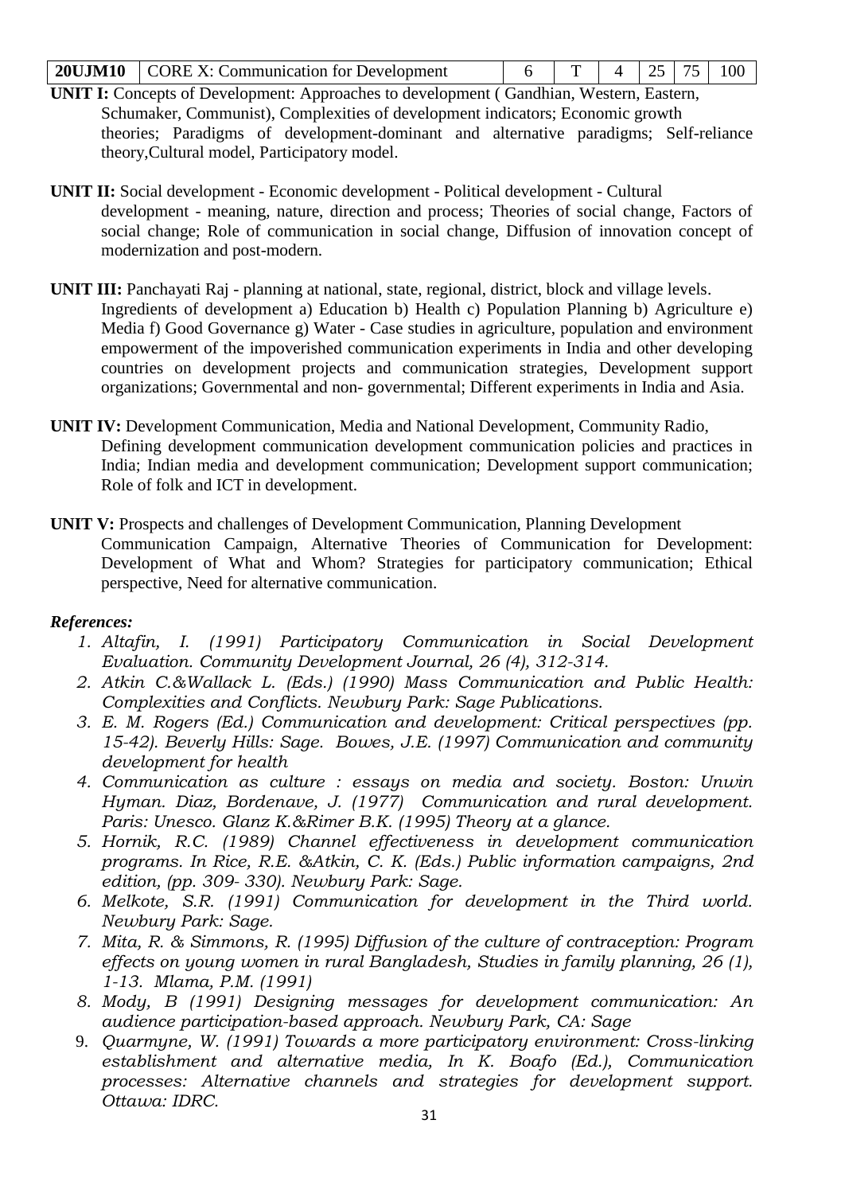|  | <b>20UJM10</b> CORE X: Communication for Development |  |  |  |  |  |  |
|--|------------------------------------------------------|--|--|--|--|--|--|
|--|------------------------------------------------------|--|--|--|--|--|--|

- **UNIT I:** Concepts of Development: Approaches to development ( Gandhian, Western, Eastern, Schumaker, Communist), Complexities of development indicators; Economic growth theories; Paradigms of development-dominant and alternative paradigms; Self-reliance theory,Cultural model, Participatory model.
- **UNIT II:** Social development Economic development Political development Cultural development - meaning, nature, direction and process; Theories of social change, Factors of social change; Role of communication in social change, Diffusion of innovation concept of modernization and post-modern.
- **UNIT III:** Panchayati Raj planning at national, state, regional, district, block and village levels. Ingredients of development a) Education b) Health c) Population Planning b) Agriculture e) Media f) Good Governance g) Water - Case studies in agriculture, population and environment empowerment of the impoverished communication experiments in India and other developing countries on development projects and communication strategies, Development support organizations; Governmental and non- governmental; Different experiments in India and Asia.
- **UNIT IV:** Development Communication, Media and National Development, Community Radio, Defining development communication development communication policies and practices in India; Indian media and development communication; Development support communication; Role of folk and ICT in development.
- **UNIT V:** Prospects and challenges of Development Communication, Planning Development Communication Campaign, Alternative Theories of Communication for Development: Development of What and Whom? Strategies for participatory communication; Ethical perspective, Need for alternative communication.

## *References:*

- *1. Altafin, I. (1991) Participatory Communication in Social Development Evaluation. Community Development Journal, 26 (4), 312-314.*
- *2. Atkin C.&Wallack L. (Eds.) (1990) Mass Communication and Public Health: Complexities and Conflicts. Newbury Park: Sage Publications.*
- *3. E. M. Rogers (Ed.) Communication and development: Critical perspectives (pp. 15-42). Beverly Hills: Sage. Bowes, J.E. (1997) Communication and community development for health*
- *4. Communication as culture : essays on media and society. Boston: Unwin Hyman. Diaz, Bordenave, J. (1977) Communication and rural development. Paris: Unesco. Glanz K.&Rimer B.K. (1995) Theory at a glance.*
- *5. Hornik, R.C. (1989) Channel effectiveness in development communication programs. In Rice, R.E. &Atkin, C. K. (Eds.) Public information campaigns, 2nd edition, (pp. 309- 330). Newbury Park: Sage.*
- *6. Melkote, S.R. (1991) Communication for development in the Third world. Newbury Park: Sage.*
- *7. Mita, R. & Simmons, R. (1995) Diffusion of the culture of contraception: Program effects on young women in rural Bangladesh, Studies in family planning, 26 (1), 1-13. Mlama, P.M. (1991)*
- *8. Mody, B (1991) Designing messages for development communication: An audience participation-based approach. Newbury Park, CA: Sage*
- 9. *Quarmyne, W. (1991) Towards a more participatory environment: Cross-linking establishment and alternative media, In K. Boafo (Ed.), Communication processes: Alternative channels and strategies for development support. Ottawa: IDRC.*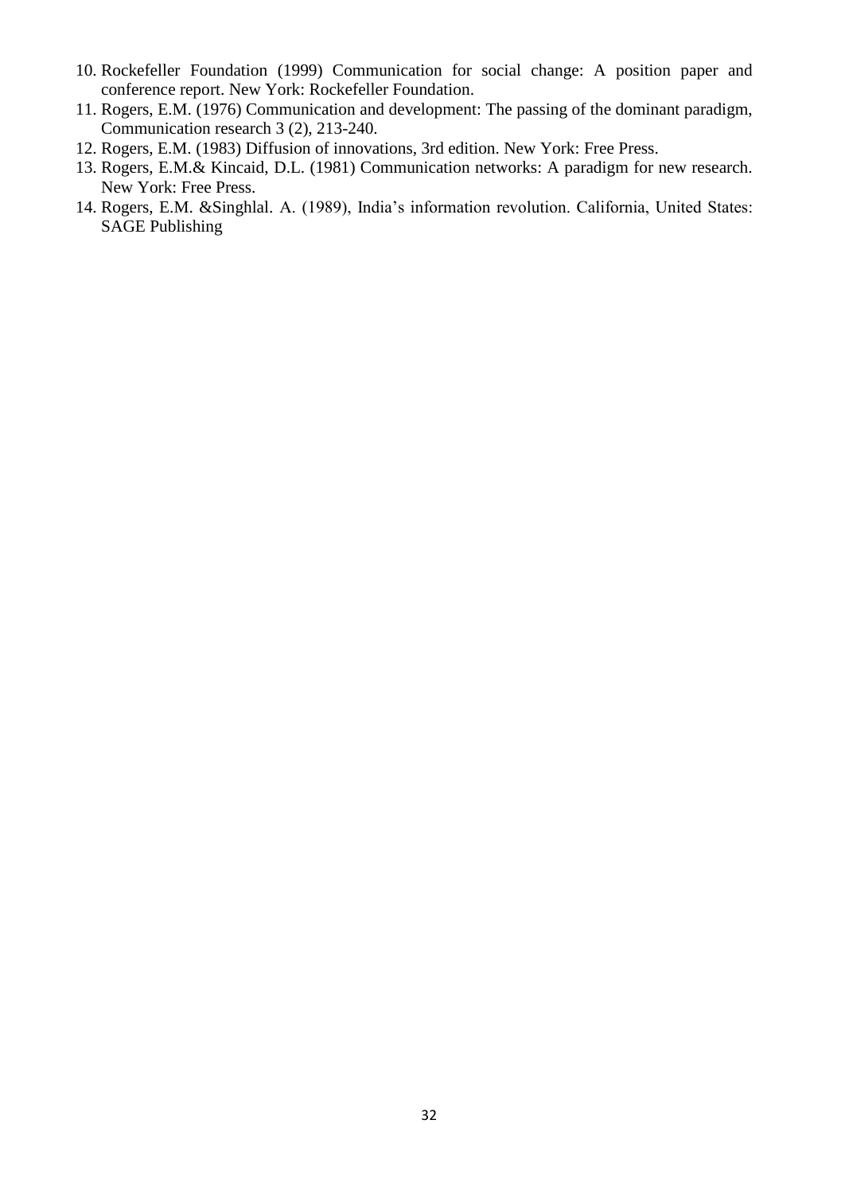- 10. Rockefeller Foundation (1999) Communication for social change: A position paper and conference report. New York: Rockefeller Foundation.
- 11. Rogers, E.M. (1976) Communication and development: The passing of the dominant paradigm, Communication research 3 (2), 213-240.
- 12. Rogers, E.M. (1983) Diffusion of innovations, 3rd edition. New York: Free Press.
- 13. Rogers, E.M.& Kincaid, D.L. (1981) Communication networks: A paradigm for new research. New York: Free Press.
- 14. Rogers, E.M. &Singhlal. A. (1989), India"s information revolution. California, United States: SAGE Publishing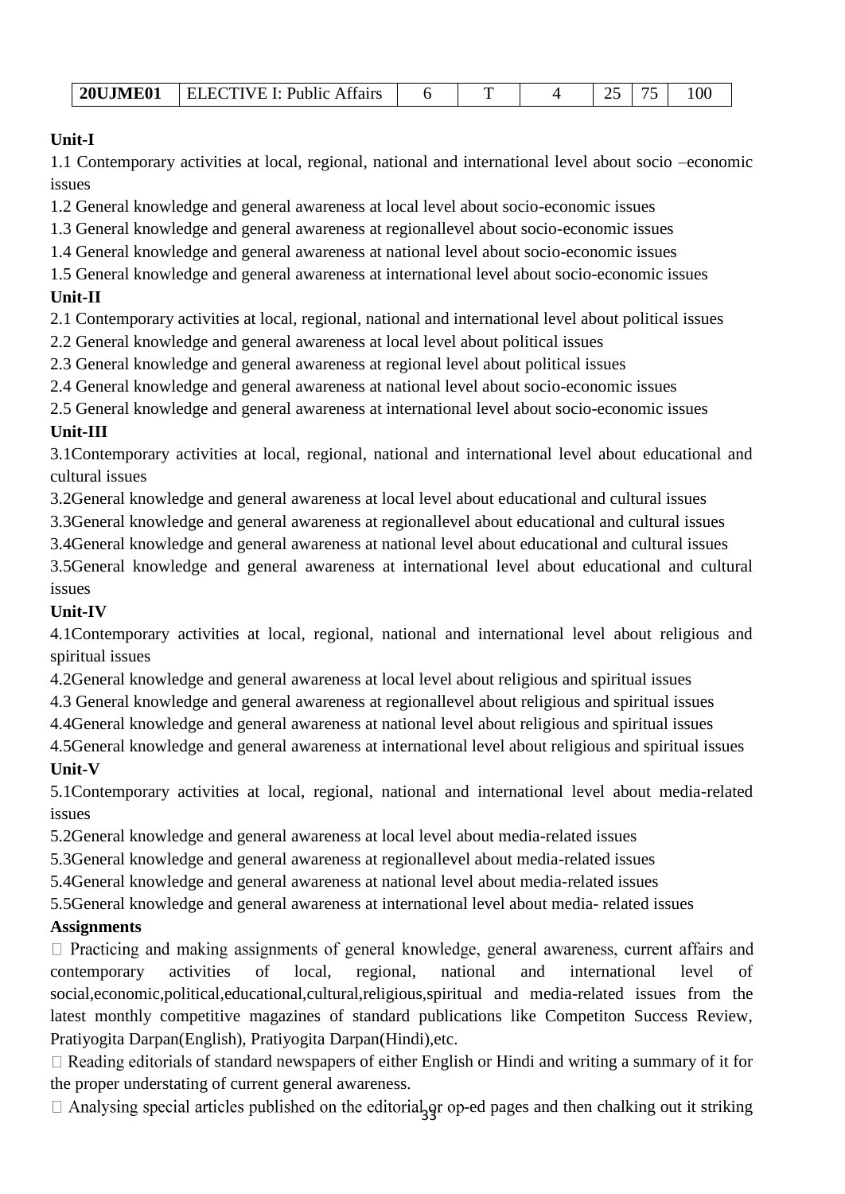| <b>ELECTIVE I: Public Affairs</b><br><b>20UJME01</b> |  |  |  | _. |  |  |
|------------------------------------------------------|--|--|--|----|--|--|
|------------------------------------------------------|--|--|--|----|--|--|

# **Unit-I**

1.1 Contemporary activities at local, regional, national and international level about socio –economic issues

1.2 General knowledge and general awareness at local level about socio-economic issues

1.3 General knowledge and general awareness at regionallevel about socio-economic issues

1.4 General knowledge and general awareness at national level about socio-economic issues

1.5 General knowledge and general awareness at international level about socio-economic issues **Unit-II**

2.1 Contemporary activities at local, regional, national and international level about political issues

2.2 General knowledge and general awareness at local level about political issues

2.3 General knowledge and general awareness at regional level about political issues

2.4 General knowledge and general awareness at national level about socio-economic issues

2.5 General knowledge and general awareness at international level about socio-economic issues

# **Unit-III**

3.1Contemporary activities at local, regional, national and international level about educational and cultural issues

3.2General knowledge and general awareness at local level about educational and cultural issues

3.3General knowledge and general awareness at regionallevel about educational and cultural issues

3.4General knowledge and general awareness at national level about educational and cultural issues

3.5General knowledge and general awareness at international level about educational and cultural issues

# **Unit-IV**

4.1Contemporary activities at local, regional, national and international level about religious and spiritual issues

4.2General knowledge and general awareness at local level about religious and spiritual issues

4.3 General knowledge and general awareness at regionallevel about religious and spiritual issues

4.4General knowledge and general awareness at national level about religious and spiritual issues

4.5General knowledge and general awareness at international level about religious and spiritual issues **Unit-V**

5.1Contemporary activities at local, regional, national and international level about media-related issues

5.2General knowledge and general awareness at local level about media-related issues

5.3General knowledge and general awareness at regionallevel about media-related issues

5.4General knowledge and general awareness at national level about media-related issues

5.5General knowledge and general awareness at international level about media- related issues

# **Assignments**

 $\Box$  Practicing and making assignments of general knowledge, general awareness, current affairs and contemporary activities of local, regional, national and international level of social,economic,political,educational,cultural,religious,spiritual and media-related issues from the latest monthly competitive magazines of standard publications like Competiton Success Review, Pratiyogita Darpan(English), Pratiyogita Darpan(Hindi),etc.

 $\Box$  Reading editorials of standard newspapers of either English or Hindi and writing a summary of it for the proper understating of current general awareness.

1<sub>3</sub>gr op-ed pages and then chalking out it striking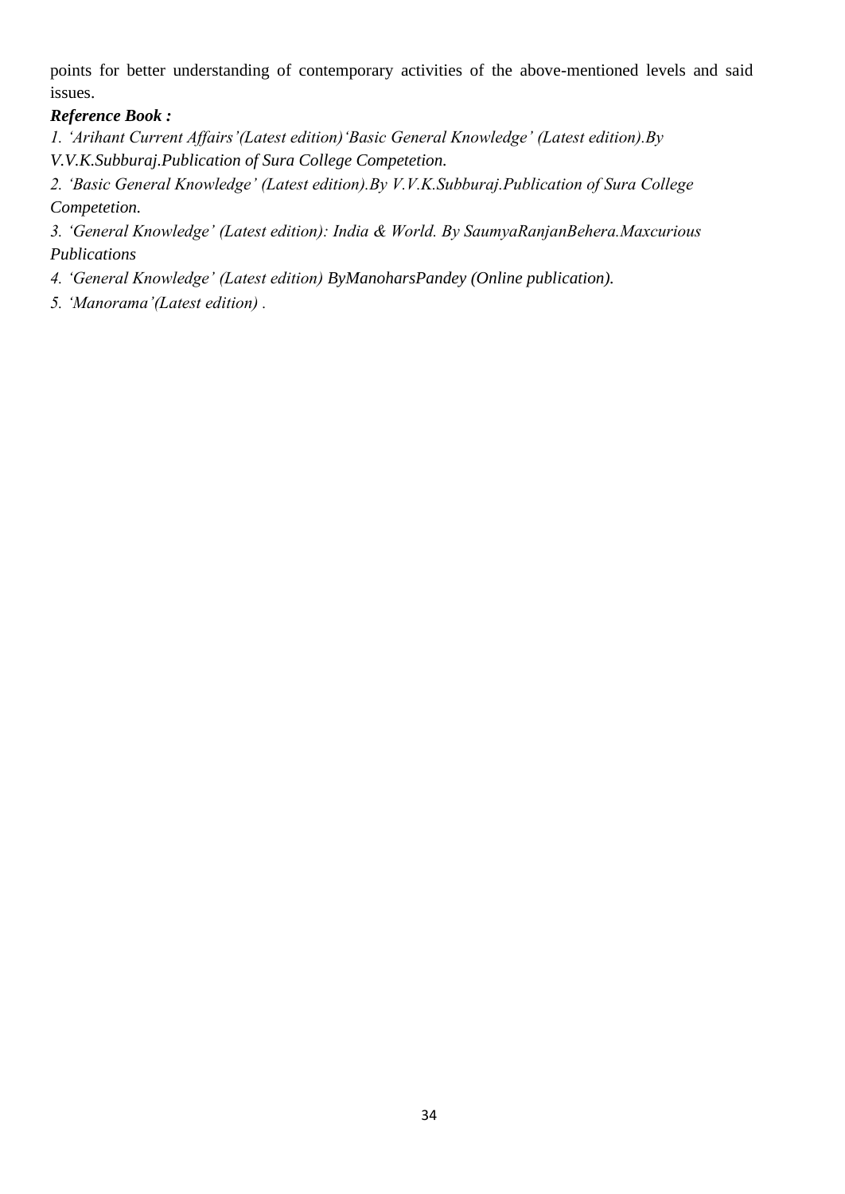points for better understanding of contemporary activities of the above-mentioned levels and said issues.

## *Reference Book :*

*1. "Arihant Current Affairs"(Latest edition)"Basic General Knowledge" (Latest edition).By V.V.K.Subburaj.Publication of Sura College Competetion.* 

*2. "Basic General Knowledge" (Latest edition).By V.V.K.Subburaj.Publication of Sura College Competetion.* 

*3. "General Knowledge" (Latest edition): India & World. By SaumyaRanjanBehera.Maxcurious Publications* 

*4. "General Knowledge" (Latest edition) ByManoharsPandey (Online publication).* 

*5. "Manorama"(Latest edition) .*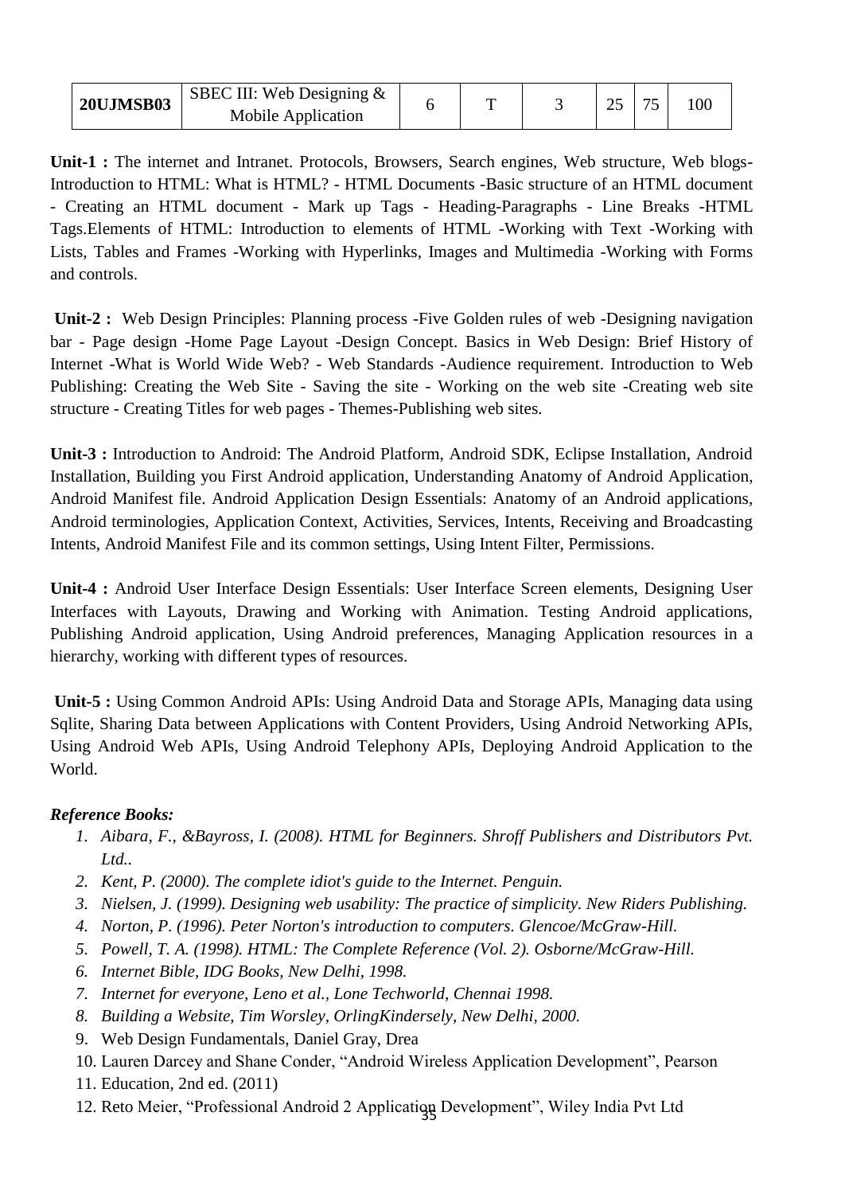| SBEC III: Web Designing $\&$<br><b>20UJMSB03</b><br>Mobile Application |  |  |  | ∠. | ヮ | 100 |  |
|------------------------------------------------------------------------|--|--|--|----|---|-----|--|
|------------------------------------------------------------------------|--|--|--|----|---|-----|--|

**Unit-1 :** The internet and Intranet. Protocols, Browsers, Search engines, Web structure, Web blogs-Introduction to HTML: What is HTML? - HTML Documents -Basic structure of an HTML document - Creating an HTML document - Mark up Tags - Heading-Paragraphs - Line Breaks -HTML Tags.Elements of HTML: Introduction to elements of HTML -Working with Text -Working with Lists, Tables and Frames -Working with Hyperlinks, Images and Multimedia -Working with Forms and controls.

**Unit-2 :** Web Design Principles: Planning process -Five Golden rules of web -Designing navigation bar - Page design -Home Page Layout -Design Concept. Basics in Web Design: Brief History of Internet -What is World Wide Web? - Web Standards -Audience requirement. Introduction to Web Publishing: Creating the Web Site - Saving the site - Working on the web site -Creating web site structure - Creating Titles for web pages - Themes-Publishing web sites.

**Unit-3 :** Introduction to Android: The Android Platform, Android SDK, Eclipse Installation, Android Installation, Building you First Android application, Understanding Anatomy of Android Application, Android Manifest file. Android Application Design Essentials: Anatomy of an Android applications, Android terminologies, Application Context, Activities, Services, Intents, Receiving and Broadcasting Intents, Android Manifest File and its common settings, Using Intent Filter, Permissions.

**Unit-4 :** Android User Interface Design Essentials: User Interface Screen elements, Designing User Interfaces with Layouts, Drawing and Working with Animation. Testing Android applications, Publishing Android application, Using Android preferences, Managing Application resources in a hierarchy, working with different types of resources.

**Unit-5 :** Using Common Android APIs: Using Android Data and Storage APIs, Managing data using Sqlite, Sharing Data between Applications with Content Providers, Using Android Networking APIs, Using Android Web APIs, Using Android Telephony APIs, Deploying Android Application to the World.

# *Reference Books:*

- *1. Aibara, F., &Bayross, I. (2008). HTML for Beginners. Shroff Publishers and Distributors Pvt. Ltd..*
- *2. Kent, P. (2000). The complete idiot's guide to the Internet. Penguin.*
- *3. Nielsen, J. (1999). Designing web usability: The practice of simplicity. New Riders Publishing.*
- *4. Norton, P. (1996). Peter Norton's introduction to computers. Glencoe/McGraw-Hill.*
- *5. Powell, T. A. (1998). HTML: The Complete Reference (Vol. 2). Osborne/McGraw-Hill.*
- *6. Internet Bible, IDG Books, New Delhi, 1998.*
- *7. Internet for everyone, Leno et al., Lone Techworld, Chennai 1998.*
- *8. Building a Website, Tim Worsley, OrlingKindersely, New Delhi, 2000.*
- 9. Web Design Fundamentals, Daniel Gray, Drea
- 10. Lauren Darcey and Shane Conder, "Android Wireless Application Development", Pearson
- 11. Education, 2nd ed. (2011)
- 12. Reto Meier, "Professional Android 2 Application Development", Wiley India Pvt Ltd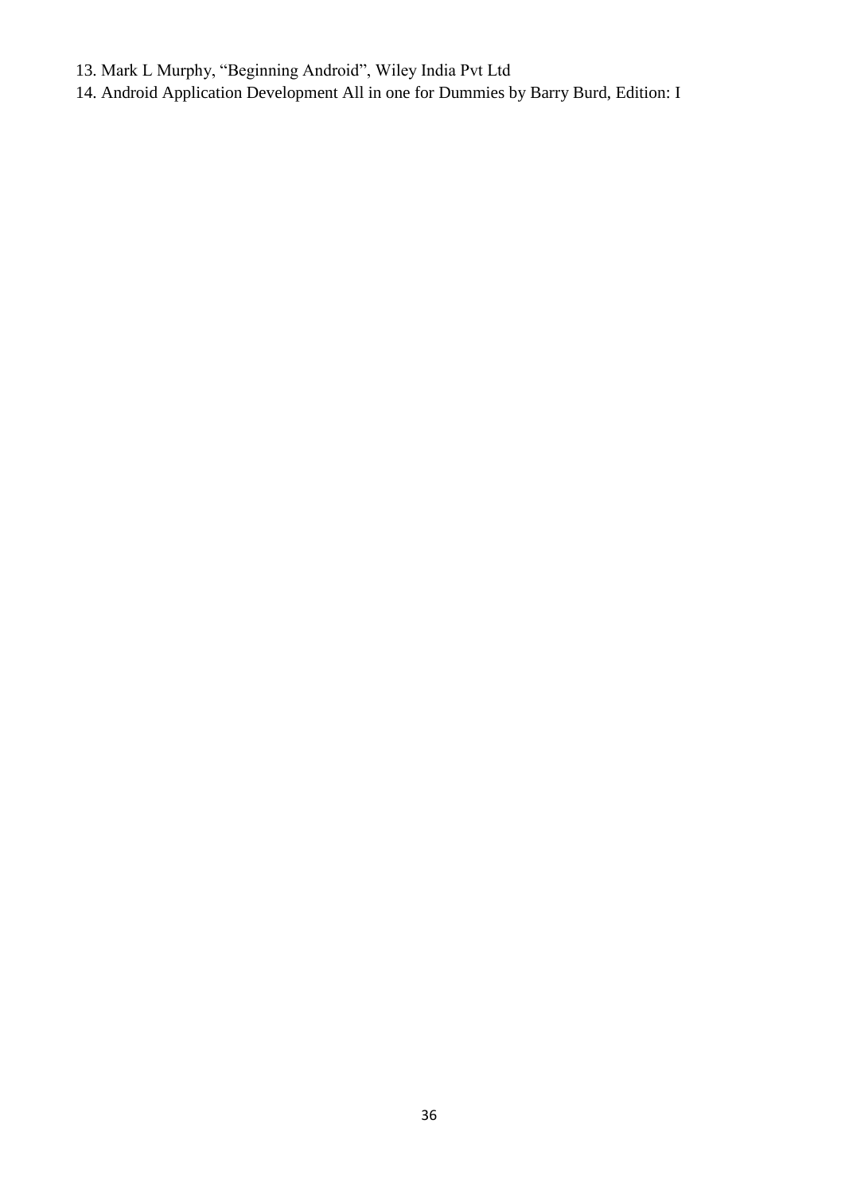- 13. Mark L Murphy, "Beginning Android", Wiley India Pvt Ltd
- 14. Android Application Development All in one for Dummies by Barry Burd, Edition: I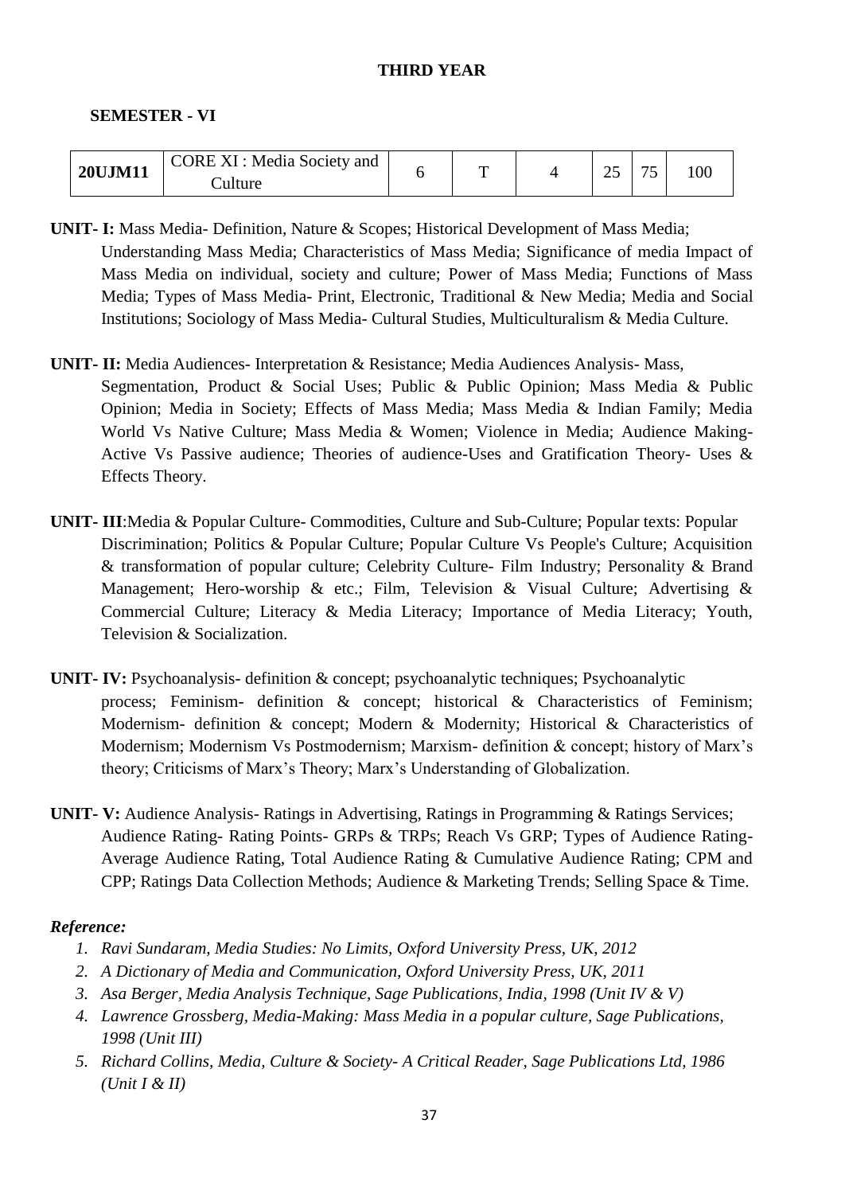#### **THIRD YEAR**

#### **SEMESTER - VI**

| <b>20UJM11</b> | <b>CORE XI: Media Society and</b> | ᠇᠇ | Ωc | - - |  |
|----------------|-----------------------------------|----|----|-----|--|
|                | `ulture                           |    |    | . . |  |

- **UNIT- I:** Mass Media- Definition, Nature & Scopes; Historical Development of Mass Media; Understanding Mass Media; Characteristics of Mass Media; Significance of media Impact of Mass Media on individual, society and culture; Power of Mass Media; Functions of Mass Media; Types of Mass Media- Print, Electronic, Traditional & New Media; Media and Social Institutions; Sociology of Mass Media- Cultural Studies, Multiculturalism & Media Culture.
- **UNIT- II:** Media Audiences- Interpretation & Resistance; Media Audiences Analysis- Mass, Segmentation, Product & Social Uses; Public & Public Opinion; Mass Media & Public Opinion; Media in Society; Effects of Mass Media; Mass Media & Indian Family; Media World Vs Native Culture; Mass Media & Women; Violence in Media; Audience Making-Active Vs Passive audience; Theories of audience-Uses and Gratification Theory- Uses & Effects Theory.
- **UNIT- III**:Media & Popular Culture- Commodities, Culture and Sub-Culture; Popular texts: Popular Discrimination; Politics & Popular Culture; Popular Culture Vs People's Culture; Acquisition & transformation of popular culture; Celebrity Culture- Film Industry; Personality & Brand Management; Hero-worship & etc.; Film, Television & Visual Culture; Advertising & Commercial Culture; Literacy & Media Literacy; Importance of Media Literacy; Youth, Television & Socialization.
- **UNIT- IV:** Psychoanalysis- definition & concept; psychoanalytic techniques; Psychoanalytic process; Feminism- definition & concept; historical & Characteristics of Feminism; Modernism- definition & concept; Modern & Modernity; Historical & Characteristics of Modernism; Modernism Vs Postmodernism; Marxism- definition & concept; history of Marx"s theory; Criticisms of Marx"s Theory; Marx"s Understanding of Globalization.
- **UNIT- V:** Audience Analysis- Ratings in Advertising, Ratings in Programming & Ratings Services; Audience Rating- Rating Points- GRPs & TRPs; Reach Vs GRP; Types of Audience Rating-Average Audience Rating, Total Audience Rating & Cumulative Audience Rating; CPM and CPP; Ratings Data Collection Methods; Audience & Marketing Trends; Selling Space & Time.

## *Reference:*

- *1. Ravi Sundaram, Media Studies: No Limits, Oxford University Press, UK, 2012*
- *2. A Dictionary of Media and Communication, Oxford University Press, UK, 2011*
- *3. Asa Berger, Media Analysis Technique, Sage Publications, India, 1998 (Unit IV & V)*
- *4. Lawrence Grossberg, Media-Making: Mass Media in a popular culture, Sage Publications, 1998 (Unit III)*
- *5. Richard Collins, Media, Culture & Society- A Critical Reader, Sage Publications Ltd, 1986 (Unit I & II)*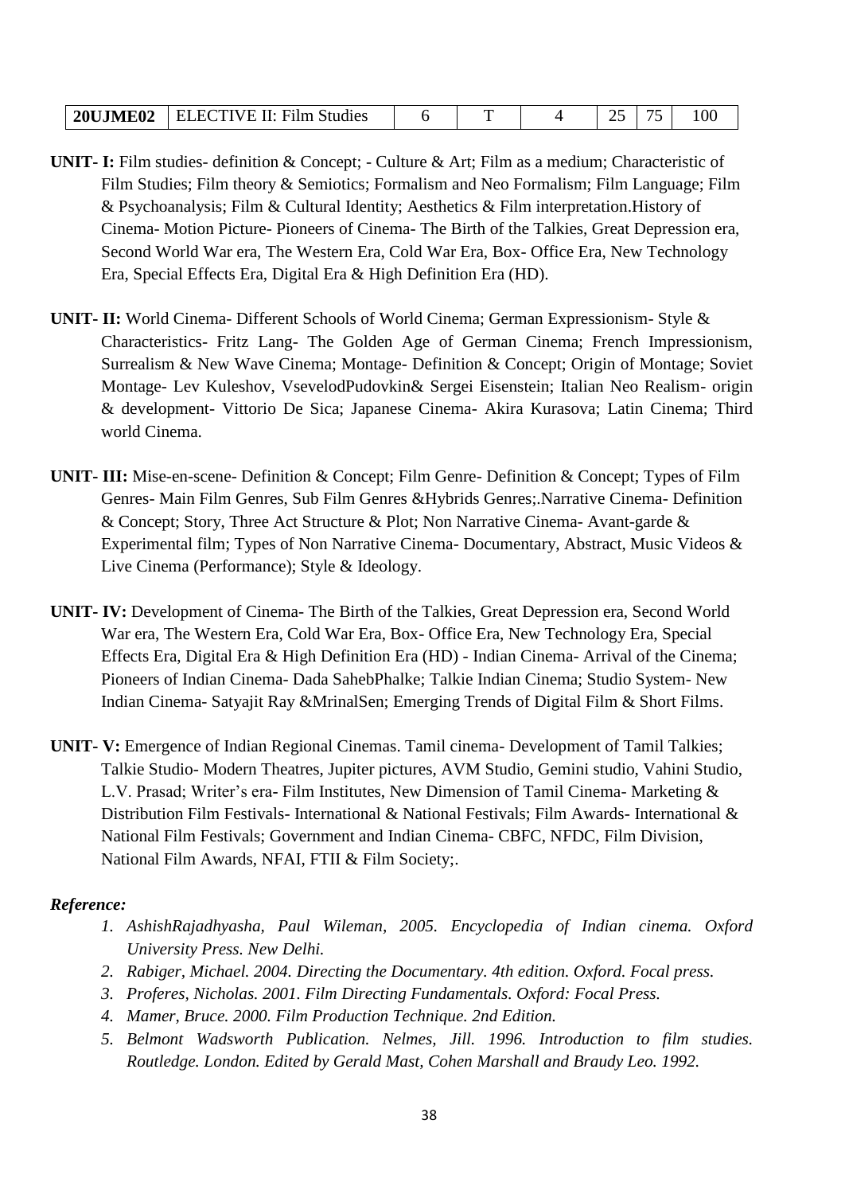| <b>20UJME02</b> | II: Film Studies<br>TIVE<br>. H 5<br>. L 1 |  |  |  |  | $\sim$ |  |
|-----------------|--------------------------------------------|--|--|--|--|--------|--|
|-----------------|--------------------------------------------|--|--|--|--|--------|--|

- **UNIT- I:** Film studies- definition & Concept; Culture & Art; Film as a medium; Characteristic of Film Studies; Film theory & Semiotics; Formalism and Neo Formalism; Film Language; Film & Psychoanalysis; Film & Cultural Identity; Aesthetics & Film interpretation.History of Cinema- Motion Picture- Pioneers of Cinema- The Birth of the Talkies, Great Depression era, Second World War era, The Western Era, Cold War Era, Box- Office Era, New Technology Era, Special Effects Era, Digital Era & High Definition Era (HD).
- **UNIT- II:** World Cinema- Different Schools of World Cinema; German Expressionism- Style & Characteristics- Fritz Lang- The Golden Age of German Cinema; French Impressionism, Surrealism & New Wave Cinema; Montage- Definition & Concept; Origin of Montage; Soviet Montage- Lev Kuleshov, VsevelodPudovkin& Sergei Eisenstein; Italian Neo Realism- origin & development- Vittorio De Sica; Japanese Cinema- Akira Kurasova; Latin Cinema; Third world Cinema.
- **UNIT- III:** Mise-en-scene- Definition & Concept; Film Genre- Definition & Concept; Types of Film Genres- Main Film Genres, Sub Film Genres &Hybrids Genres;.Narrative Cinema- Definition & Concept; Story, Three Act Structure & Plot; Non Narrative Cinema- Avant-garde & Experimental film; Types of Non Narrative Cinema- Documentary, Abstract, Music Videos & Live Cinema (Performance); Style & Ideology.
- **UNIT- IV:** Development of Cinema- The Birth of the Talkies, Great Depression era, Second World War era, The Western Era, Cold War Era, Box- Office Era, New Technology Era, Special Effects Era, Digital Era & High Definition Era (HD) - Indian Cinema- Arrival of the Cinema; Pioneers of Indian Cinema- Dada SahebPhalke; Talkie Indian Cinema; Studio System- New Indian Cinema- Satyajit Ray &MrinalSen; Emerging Trends of Digital Film & Short Films.
- **UNIT- V:** Emergence of Indian Regional Cinemas. Tamil cinema- Development of Tamil Talkies; Talkie Studio- Modern Theatres, Jupiter pictures, AVM Studio, Gemini studio, Vahini Studio, L.V. Prasad; Writer"s era**-** Film Institutes, New Dimension of Tamil Cinema- Marketing & Distribution Film Festivals- International & National Festivals; Film Awards- International & National Film Festivals; Government and Indian Cinema- CBFC, NFDC, Film Division, National Film Awards, NFAI, FTII & Film Society;.

#### *Reference:*

- *1. AshishRajadhyasha, Paul Wileman, 2005. Encyclopedia of Indian cinema. Oxford University Press. New Delhi.*
- *2. Rabiger, Michael. 2004. Directing the Documentary. 4th edition. Oxford. Focal press.*
- *3. Proferes, Nicholas. 2001. Film Directing Fundamentals. Oxford: Focal Press.*
- *4. Mamer, Bruce. 2000. Film Production Technique. 2nd Edition.*
- *5. Belmont Wadsworth Publication. Nelmes, Jill. 1996. Introduction to film studies. Routledge. London. Edited by Gerald Mast, Cohen Marshall and Braudy Leo. 1992.*